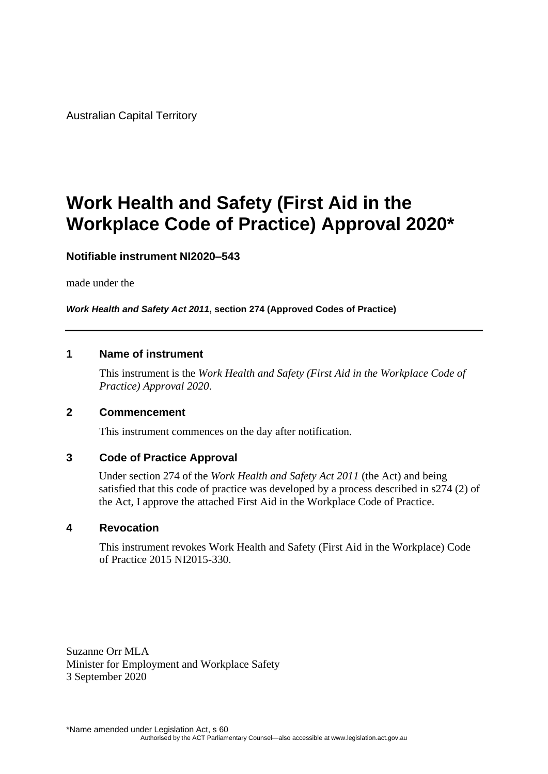Australian Capital Territory

# **Work Health and Safety (First Aid in the Workplace Code of Practice) Approval 2020\***

### **Notifiable instrument NI2020–543**

made under the

*Work Health and Safety Act 2011***, section 274 (Approved Codes of Practice)** 

### **1 Name of instrument**

This instrument is the *Work Health and Safety (First Aid in the Workplace Code of Practice) Approval 2020*.

### **2 Commencement**

This instrument commences on the day after notification.

### **3 Code of Practice Approval**

Under section 274 of the *Work Health and Safety Act 2011* (the Act) and being satisfied that this code of practice was developed by a process described in s274 (2) of the Act, I approve the attached First Aid in the Workplace Code of Practice.

#### **4 Revocation**

This instrument revokes Work Health and Safety (First Aid in the Workplace) Code of Practice 2015 NI2015-330.

Suzanne Orr MLA Minister for Employment and Workplace Safety 3 September 2020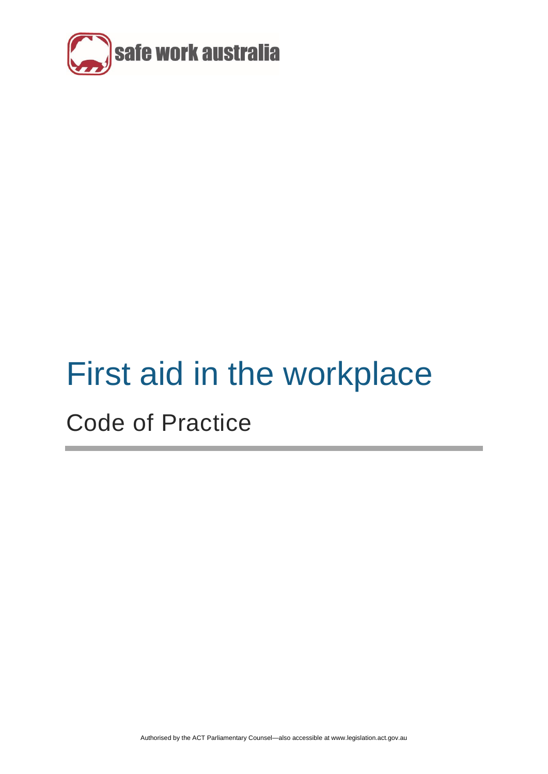

# First aid in the workplace

# Code of Practice

Authorised by the ACT Parliamentary Counsel—also accessible at www.legislation.act.gov.au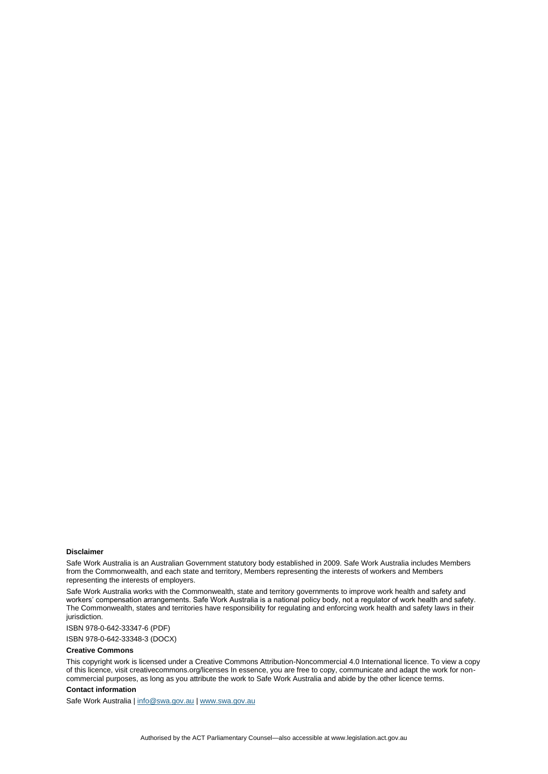#### **Disclaimer**

Safe Work Australia is an Australian Government statutory body established in 2009. Safe Work Australia includes Members from the Commonwealth, and each state and territory, Members representing the interests of workers and Members representing the interests of employers.

Safe Work Australia works with the Commonwealth, state and territory governments to improve work health and safety and workers' compensation arrangements. Safe Work Australia is a national policy body, not a regulator of work health and safety. The Commonwealth, states and territories have responsibility for regulating and enforcing work health and safety laws in their jurisdiction.

ISBN 978-0-642-33347-6 (PDF)

ISBN 978-0-642-33348-3 (DOCX)

#### **Creative Commons**

This copyright work is licensed under a Creative Commons Attribution-Noncommercial 4.0 International licence. To view a copy of this licence, visit creativecommons.org/licenses In essence, you are free to copy, communicate and adapt the work for noncommercial purposes, as long as you attribute the work to Safe Work Australia and abide by the other licence terms.

#### **Contact information**

Safe Work Australia [| info@swa.gov.au](mailto:info@swa.gov.au) [| www.swa.gov.au](http://www.swa.gov.au/)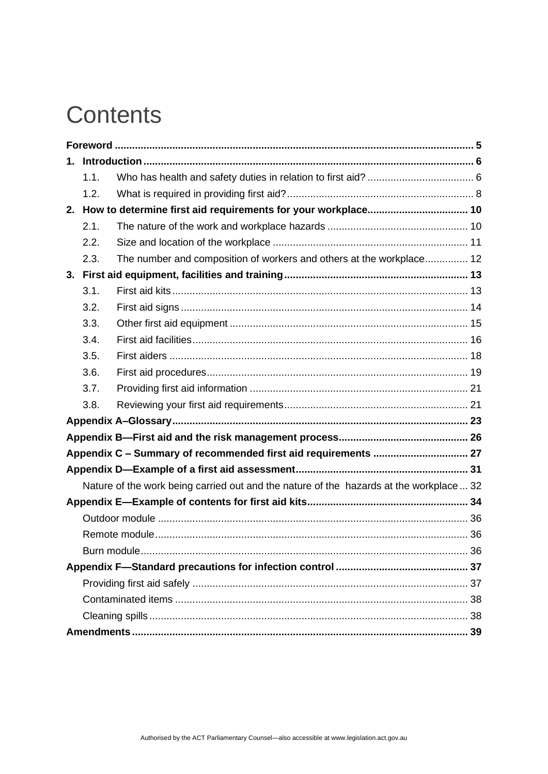# **Contents**

| 1.1. |                                                                                        |  |  |  |
|------|----------------------------------------------------------------------------------------|--|--|--|
| 1.2. |                                                                                        |  |  |  |
|      |                                                                                        |  |  |  |
| 2.1. |                                                                                        |  |  |  |
| 2.2. |                                                                                        |  |  |  |
| 2.3. | The number and composition of workers and others at the workplace 12                   |  |  |  |
|      |                                                                                        |  |  |  |
| 3.1. |                                                                                        |  |  |  |
| 3.2. |                                                                                        |  |  |  |
| 3.3. |                                                                                        |  |  |  |
| 3.4. |                                                                                        |  |  |  |
| 3.5. |                                                                                        |  |  |  |
| 3.6. |                                                                                        |  |  |  |
| 3.7. |                                                                                        |  |  |  |
| 3.8. |                                                                                        |  |  |  |
|      |                                                                                        |  |  |  |
|      |                                                                                        |  |  |  |
|      |                                                                                        |  |  |  |
|      |                                                                                        |  |  |  |
|      | Nature of the work being carried out and the nature of the hazards at the workplace 32 |  |  |  |
|      |                                                                                        |  |  |  |
|      |                                                                                        |  |  |  |
|      |                                                                                        |  |  |  |
|      |                                                                                        |  |  |  |
|      |                                                                                        |  |  |  |
|      |                                                                                        |  |  |  |
|      |                                                                                        |  |  |  |
|      |                                                                                        |  |  |  |
|      |                                                                                        |  |  |  |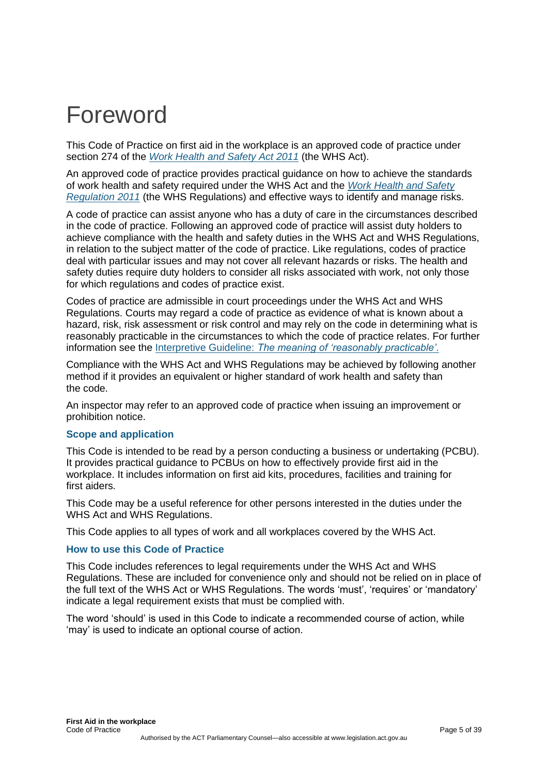# <span id="page-4-0"></span>Foreword

This Code of Practice on first aid in the workplace is an approved code of practice under section 274 of the *[Work Health and Safety Act](https://legislation.act.gov.au/a/2011-35/) 2011* (the WHS Act).

An approved code of practice provides practical guidance on how to achieve the standards of work health and safety required under the WHS Act and the *[Work Health and Safety](https://legislation.act.gov.au/sl/2011-36/)  [Regulation](https://legislation.act.gov.au/sl/2011-36/) 2011* (the WHS Regulations) and effective ways to identify and manage risks.

A code of practice can assist anyone who has a duty of care in the circumstances described in the code of practice. Following an approved code of practice will assist duty holders to achieve compliance with the health and safety duties in the WHS Act and WHS Regulations, in relation to the subject matter of the code of practice. Like regulations, codes of practice deal with particular issues and may not cover all relevant hazards or risks. The health and safety duties require duty holders to consider all risks associated with work, not only those for which regulations and codes of practice exist.

Codes of practice are admissible in court proceedings under the WHS Act and WHS Regulations. Courts may regard a code of practice as evidence of what is known about a hazard, risk, risk assessment or risk control and may rely on the code in determining what is reasonably practicable in the circumstances to which the code of practice relates. For further information see the Interpretive Guideline: *[The meaning of 'reasonably practicable'](https://www.safeworkaustralia.gov.au/doc/interpretive-guideline-model-work-health-and-safety-act-meaning-reasonably-practicable)*.

Compliance with the WHS Act and WHS Regulations may be achieved by following another method if it provides an equivalent or higher standard of work health and safety than the code.

An inspector may refer to an approved code of practice when issuing an improvement or prohibition notice.

#### **Scope and application**

This Code is intended to be read by a person conducting a business or undertaking (PCBU). It provides practical guidance to PCBUs on how to effectively provide first aid in the workplace. It includes information on first aid kits, procedures, facilities and training for first aiders.

This Code may be a useful reference for other persons interested in the duties under the WHS Act and WHS Regulations.

This Code applies to all types of work and all workplaces covered by the WHS Act.

#### **How to use this Code of Practice**

This Code includes references to legal requirements under the WHS Act and WHS Regulations. These are included for convenience only and should not be relied on in place of the full text of the WHS Act or WHS Regulations. The words 'must', 'requires' or 'mandatory' indicate a legal requirement exists that must be complied with.

The word 'should' is used in this Code to indicate a recommended course of action, while 'may' is used to indicate an optional course of action.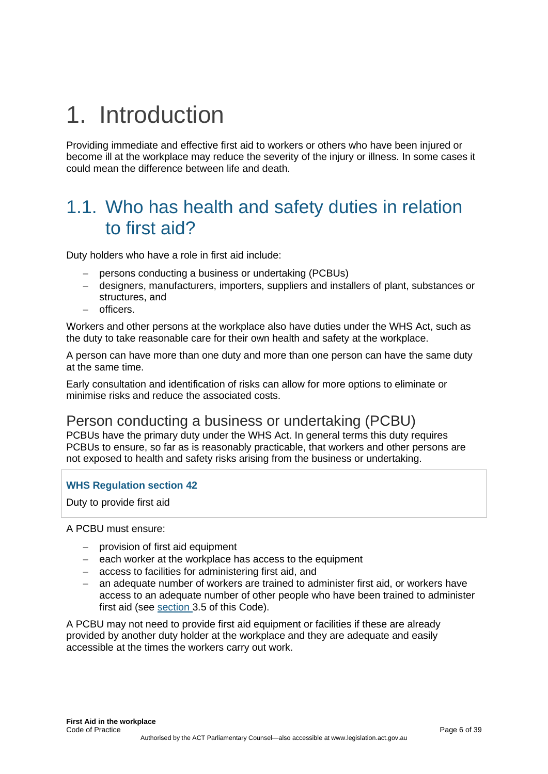# <span id="page-5-0"></span>1. Introduction

Providing immediate and effective first aid to workers or others who have been injured or become ill at the workplace may reduce the severity of the injury or illness. In some cases it could mean the difference between life and death.

# <span id="page-5-1"></span>1.1. Who has health and safety duties in relation to first aid?

Duty holders who have a role in first aid include:

- − persons conducting a business or undertaking (PCBUs)
- − designers, manufacturers, importers, suppliers and installers of plant, substances or structures, and
- − officers.

Workers and other persons at the workplace also have duties under the WHS Act, such as the duty to take reasonable care for their own health and safety at the workplace.

A person can have more than one duty and more than one person can have the same duty at the same time.

Early consultation and identification of risks can allow for more options to eliminate or minimise risks and reduce the associated costs.

## Person conducting a business or undertaking (PCBU)

PCBUs have the primary duty under the WHS Act. In general terms this duty requires PCBUs to ensure, so far as is reasonably practicable, that workers and other persons are not exposed to health and safety risks arising from the business or undertaking.

#### **WHS Regulation section 42**

Duty to provide first aid

A PCBU must ensure:

- − provision of first aid equipment
- − each worker at the workplace has access to the equipment
- − access to facilities for administering first aid, and
- an adequate number of workers are trained to administer first aid, or workers have access to an adequate number of other people who have been trained to administer first aid (see [section 3.5](#page-17-0) of this Code).

A PCBU may not need to provide first aid equipment or facilities if these are already provided by another duty holder at the workplace and they are adequate and easily accessible at the times the workers carry out work.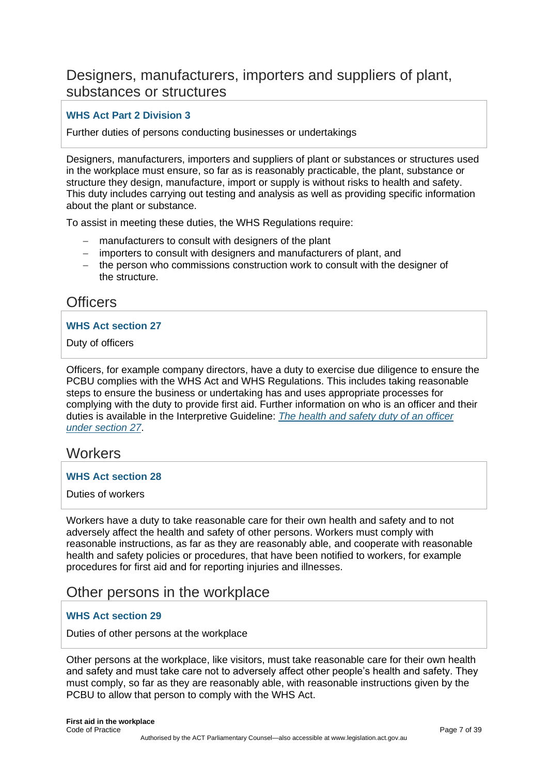## Designers, manufacturers, importers and suppliers of plant, substances or structures

### **WHS Act Part 2 Division 3**

Further duties of persons conducting businesses or undertakings

Designers, manufacturers, importers and suppliers of plant or substances or structures used in the workplace must ensure, so far as is reasonably practicable, the plant, substance or structure they design, manufacture, import or supply is without risks to health and safety. This duty includes carrying out testing and analysis as well as providing specific information about the plant or substance.

To assist in meeting these duties, the WHS Regulations require:

- − manufacturers to consult with designers of the plant
- − importers to consult with designers and manufacturers of plant, and
- − the person who commissions construction work to consult with the designer of the structure.

## **Officers**

#### **WHS Act section 27**

Duty of officers

Officers, for example company directors, have a duty to exercise due diligence to ensure the PCBU complies with the WHS Act and WHS Regulations. This includes taking reasonable steps to ensure the business or undertaking has and uses appropriate processes for complying with the duty to provide first aid. Further information on who is an officer and their duties is available in the Interpretive Guideline: *[The health and safety duty of an officer](https://www.safeworkaustralia.gov.au/doc/interpretive-guideline-model-work-health-and-safety-act-health-and-safety-duty-officer-under)  [under section](https://www.safeworkaustralia.gov.au/doc/interpretive-guideline-model-work-health-and-safety-act-health-and-safety-duty-officer-under) 27*.

### **Workers**

#### **WHS Act section 28**

Duties of workers

Workers have a duty to take reasonable care for their own health and safety and to not adversely affect the health and safety of other persons. Workers must comply with reasonable instructions, as far as they are reasonably able, and cooperate with reasonable health and safety policies or procedures, that have been notified to workers, for example procedures for first aid and for reporting injuries and illnesses.

### Other persons in the workplace

#### **WHS Act section 29**

Duties of other persons at the workplace

Other persons at the workplace, like visitors, must take reasonable care for their own health and safety and must take care not to adversely affect other people's health and safety. They must comply, so far as they are reasonably able, with reasonable instructions given by the PCBU to allow that person to comply with the WHS Act.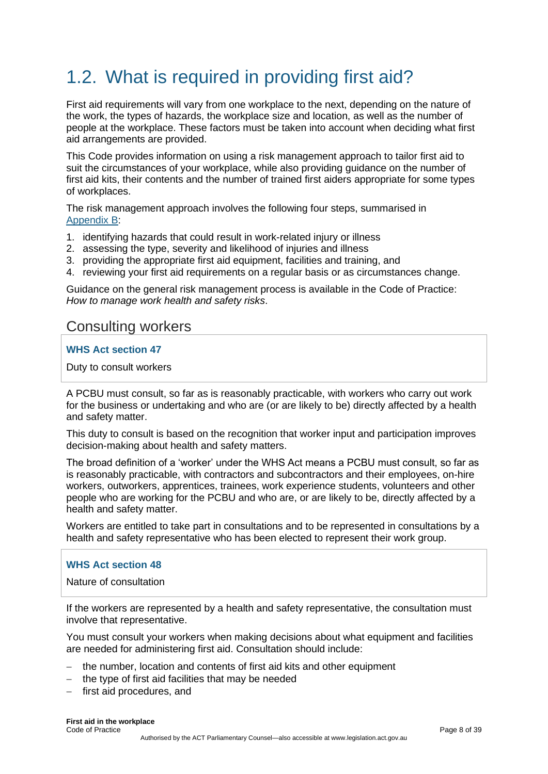# <span id="page-7-0"></span>1.2. What is required in providing first aid?

First aid requirements will vary from one workplace to the next, depending on the nature of the work, the types of hazards, the workplace size and location, as well as the number of people at the workplace. These factors must be taken into account when deciding what first aid arrangements are provided.

This Code provides information on using a risk management approach to tailor first aid to suit the circumstances of your workplace, while also providing guidance on the number of first aid kits, their contents and the number of trained first aiders appropriate for some types of workplaces.

The risk management approach involves the following four steps, summarised in [Appendix](#page-25-0) B:

- 1. identifying hazards that could result in work-related injury or illness
- 2. assessing the type, severity and likelihood of injuries and illness
- 3. providing the appropriate first aid equipment, facilities and training, and
- 4. reviewing your first aid requirements on a regular basis or as circumstances change.

Guidance on the general risk management process is available in the Code of Practice: *How to manage work health and safety risks*.

## Consulting workers

### **WHS Act section 47**

Duty to consult workers

A PCBU must consult, so far as is reasonably practicable, with workers who carry out work for the business or undertaking and who are (or are likely to be) directly affected by a health and safety matter.

This duty to consult is based on the recognition that worker input and participation improves decision-making about health and safety matters.

The broad definition of a 'worker' under the WHS Act means a PCBU must consult, so far as is reasonably practicable, with contractors and subcontractors and their employees, on-hire workers, outworkers, apprentices, trainees, work experience students, volunteers and other people who are working for the PCBU and who are, or are likely to be, directly affected by a health and safety matter.

Workers are entitled to take part in consultations and to be represented in consultations by a health and safety representative who has been elected to represent their work group.

#### **WHS Act section 48**

Nature of consultation

If the workers are represented by a health and safety representative, the consultation must involve that representative.

You must consult your workers when making decisions about what equipment and facilities are needed for administering first aid. Consultation should include:

- − the number, location and contents of first aid kits and other equipment
- − the type of first aid facilities that may be needed
- − first aid procedures, and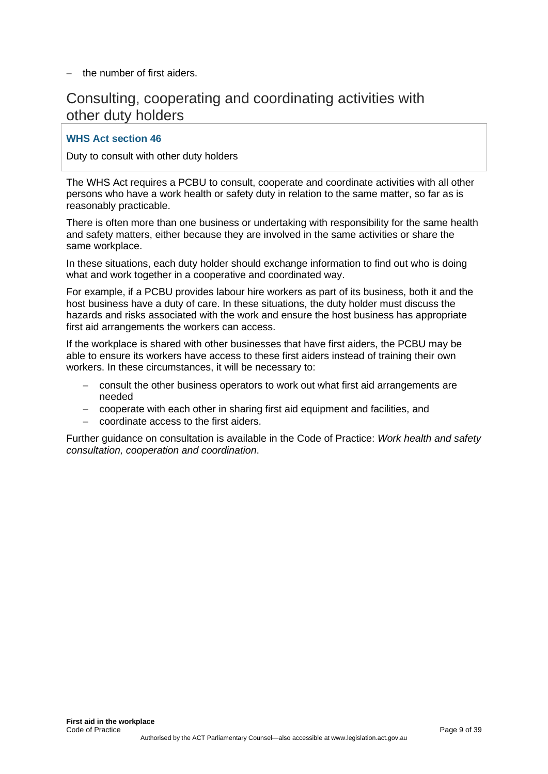− the number of first aiders.

## Consulting, cooperating and coordinating activities with other duty holders

### **WHS Act section 46**

Duty to consult with other duty holders

The WHS Act requires a PCBU to consult, cooperate and coordinate activities with all other persons who have a work health or safety duty in relation to the same matter, so far as is reasonably practicable.

There is often more than one business or undertaking with responsibility for the same health and safety matters, either because they are involved in the same activities or share the same workplace.

In these situations, each duty holder should exchange information to find out who is doing what and work together in a cooperative and coordinated way.

For example, if a PCBU provides labour hire workers as part of its business, both it and the host business have a duty of care. In these situations, the duty holder must discuss the hazards and risks associated with the work and ensure the host business has appropriate first aid arrangements the workers can access.

If the workplace is shared with other businesses that have first aiders, the PCBU may be able to ensure its workers have access to these first aiders instead of training their own workers. In these circumstances, it will be necessary to:

- − consult the other business operators to work out what first aid arrangements are needed
- − cooperate with each other in sharing first aid equipment and facilities, and
- − coordinate access to the first aiders.

Further guidance on consultation is available in the Code of Practice: *Work health and safety consultation, cooperation and coordination*.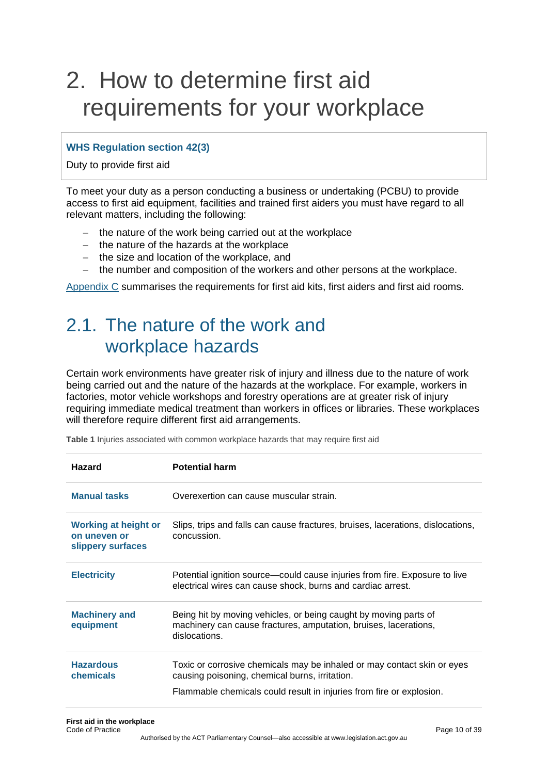# <span id="page-9-0"></span>2. How to determine first aid requirements for your workplace

### **WHS Regulation section 42(3)**

Duty to provide first aid

To meet your duty as a person conducting a business or undertaking (PCBU) to provide access to first aid equipment, facilities and trained first aiders you must have regard to all relevant matters, including the following:

- − the nature of the work being carried out at the workplace
- − the nature of the hazards at the workplace
- − the size and location of the workplace, and
- − the number and composition of the workers and other persons at the workplace.

<span id="page-9-1"></span>[Appendix C](#page-26-0) summarises the requirements for first aid kits, first aiders and first aid rooms.

# 2.1. The nature of the work and workplace hazards

Certain work environments have greater risk of injury and illness due to the nature of work being carried out and the nature of the hazards at the workplace. For example, workers in factories, motor vehicle workshops and forestry operations are at greater risk of injury requiring immediate medical treatment than workers in offices or libraries. These workplaces will therefore require different first aid arrangements.

| <b>Hazard</b>                                             | <b>Potential harm</b>                                                                                                                                 |
|-----------------------------------------------------------|-------------------------------------------------------------------------------------------------------------------------------------------------------|
| <b>Manual tasks</b>                                       | Overexertion can cause muscular strain.                                                                                                               |
| Working at height or<br>on uneven or<br>slippery surfaces | Slips, trips and falls can cause fractures, bruises, lacerations, dislocations,<br>concussion.                                                        |
| <b>Electricity</b>                                        | Potential ignition source—could cause injuries from fire. Exposure to live<br>electrical wires can cause shock, burns and cardiac arrest.             |
| <b>Machinery and</b><br>equipment                         | Being hit by moving vehicles, or being caught by moving parts of<br>machinery can cause fractures, amputation, bruises, lacerations,<br>dislocations. |
| <b>Hazardous</b><br>chemicals                             | Toxic or corrosive chemicals may be inhaled or may contact skin or eyes<br>causing poisoning, chemical burns, irritation.                             |
|                                                           | Flammable chemicals could result in injuries from fire or explosion.                                                                                  |

**Table 1** Injuries associated with common workplace hazards that may require first aid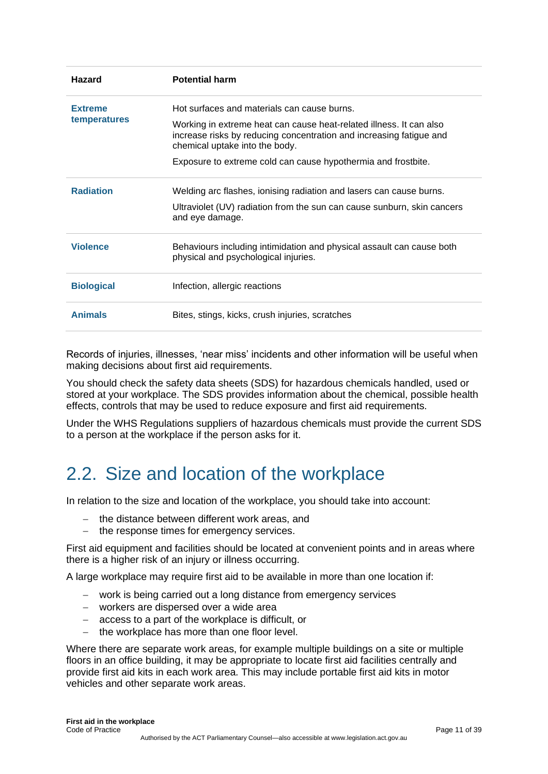| <b>Hazard</b>     | <b>Potential harm</b>                                                                                                                                                        |
|-------------------|------------------------------------------------------------------------------------------------------------------------------------------------------------------------------|
| <b>Extreme</b>    | Hot surfaces and materials can cause burns.                                                                                                                                  |
| temperatures      | Working in extreme heat can cause heat-related illness. It can also<br>increase risks by reducing concentration and increasing fatigue and<br>chemical uptake into the body. |
|                   | Exposure to extreme cold can cause hypothermia and frostbite.                                                                                                                |
| <b>Radiation</b>  | Welding arc flashes, ionising radiation and lasers can cause burns.                                                                                                          |
|                   | Ultraviolet (UV) radiation from the sun can cause sunburn, skin cancers<br>and eye damage.                                                                                   |
| <b>Violence</b>   | Behaviours including intimidation and physical assault can cause both<br>physical and psychological injuries.                                                                |
| <b>Biological</b> | Infection, allergic reactions                                                                                                                                                |
| <b>Animals</b>    | Bites, stings, kicks, crush injuries, scratches                                                                                                                              |

Records of injuries, illnesses, 'near miss' incidents and other information will be useful when making decisions about first aid requirements.

You should check the safety data sheets (SDS) for hazardous chemicals handled, used or stored at your workplace. The SDS provides information about the chemical, possible health effects, controls that may be used to reduce exposure and first aid requirements.

Under the WHS Regulations suppliers of hazardous chemicals must provide the current SDS to a person at the workplace if the person asks for it.

# <span id="page-10-0"></span>2.2. Size and location of the workplace

In relation to the size and location of the workplace, you should take into account:

- the distance between different work areas, and
- − the response times for emergency services.

First aid equipment and facilities should be located at convenient points and in areas where there is a higher risk of an injury or illness occurring.

A large workplace may require first aid to be available in more than one location if:

- − work is being carried out a long distance from emergency services
- − workers are dispersed over a wide area
- − access to a part of the workplace is difficult, or
- − the workplace has more than one floor level.

Where there are separate work areas, for example multiple buildings on a site or multiple floors in an office building, it may be appropriate to locate first aid facilities centrally and provide first aid kits in each work area. This may include portable first aid kits in motor vehicles and other separate work areas.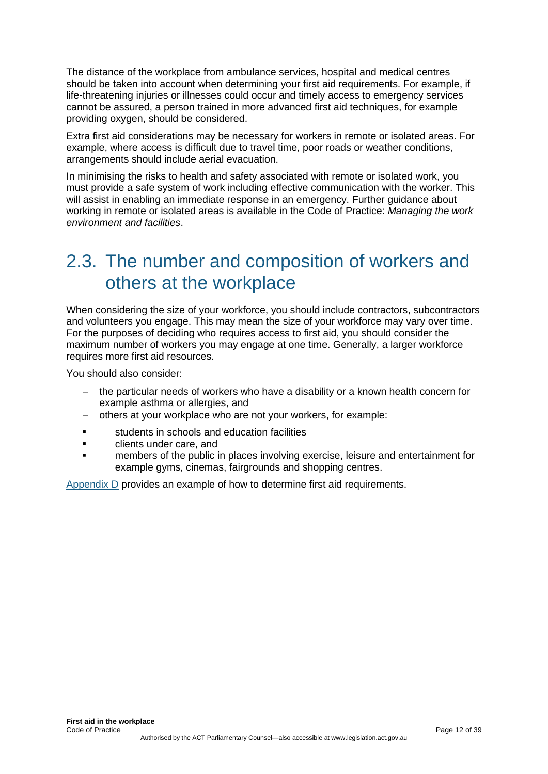The distance of the workplace from ambulance services, hospital and medical centres should be taken into account when determining your first aid requirements. For example, if life-threatening injuries or illnesses could occur and timely access to emergency services cannot be assured, a person trained in more advanced first aid techniques, for example providing oxygen, should be considered.

Extra first aid considerations may be necessary for workers in remote or isolated areas. For example, where access is difficult due to travel time, poor roads or weather conditions, arrangements should include aerial evacuation.

In minimising the risks to health and safety associated with remote or isolated work, you must provide a safe system of work including effective communication with the worker. This will assist in enabling an immediate response in an emergency. Further guidance about working in remote or isolated areas is available in the Code of Practice: *Managing the work environment and facilities*.

# <span id="page-11-0"></span>2.3. The number and composition of workers and others at the workplace

When considering the size of your workforce, you should include contractors, subcontractors and volunteers you engage. This may mean the size of your workforce may vary over time. For the purposes of deciding who requires access to first aid, you should consider the maximum number of workers you may engage at one time. Generally, a larger workforce requires more first aid resources.

You should also consider:

- the particular needs of workers who have a disability or a known health concern for example asthma or allergies, and
- − others at your workplace who are not your workers, for example:
- students in schools and education facilities
- clients under care, and
- members of the public in places involving exercise, leisure and entertainment for example gyms, cinemas, fairgrounds and shopping centres.

[Appendix D](#page-30-0) provides an example of how to determine first aid requirements.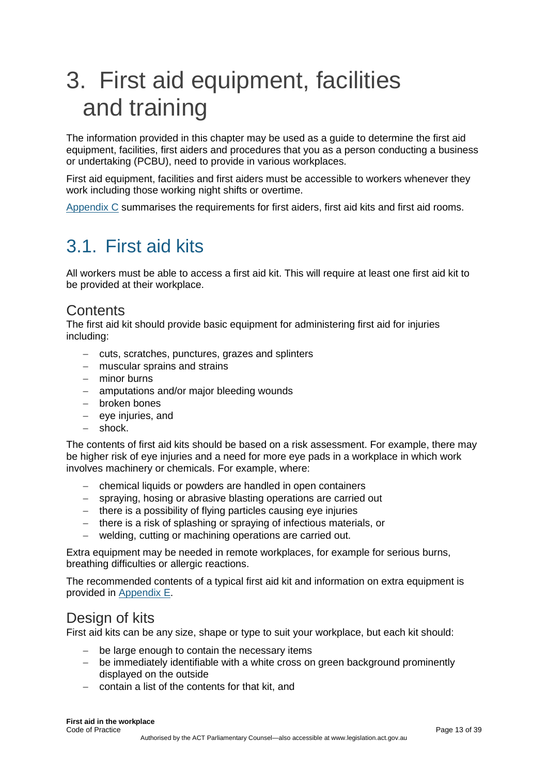# <span id="page-12-0"></span>3. First aid equipment, facilities and training

The information provided in this chapter may be used as a guide to determine the first aid equipment, facilities, first aiders and procedures that you as a person conducting a business or undertaking (PCBU), need to provide in various workplaces.

First aid equipment, facilities and first aiders must be accessible to workers whenever they work including those working night shifts or overtime.

<span id="page-12-1"></span>[Appendix C](#page-26-0) summarises the requirements for first aiders, first aid kits and first aid rooms.

# 3.1. First aid kits

All workers must be able to access a first aid kit. This will require at least one first aid kit to be provided at their workplace.

## **Contents**

The first aid kit should provide basic equipment for administering first aid for injuries including:

- − cuts, scratches, punctures, grazes and splinters
- − muscular sprains and strains
- − minor burns
- − amputations and/or major bleeding wounds
- − broken bones
- − eye injuries, and
- − shock.

The contents of first aid kits should be based on a risk assessment. For example, there may be higher risk of eye injuries and a need for more eye pads in a workplace in which work involves machinery or chemicals. For example, where:

- − chemical liquids or powders are handled in open containers
- − spraying, hosing or abrasive blasting operations are carried out
- − there is a possibility of flying particles causing eye injuries
- − there is a risk of splashing or spraying of infectious materials, or
- − welding, cutting or machining operations are carried out.

Extra equipment may be needed in remote workplaces, for example for serious burns, breathing difficulties or allergic reactions.

The recommended contents of a typical first aid kit and information on extra equipment is provided in [Appendix](#page-33-0) E.

## Design of kits

First aid kits can be any size, shape or type to suit your workplace, but each kit should:

- − be large enough to contain the necessary items
- − be immediately identifiable with a white cross on green background prominently displayed on the outside
- − contain a list of the contents for that kit, and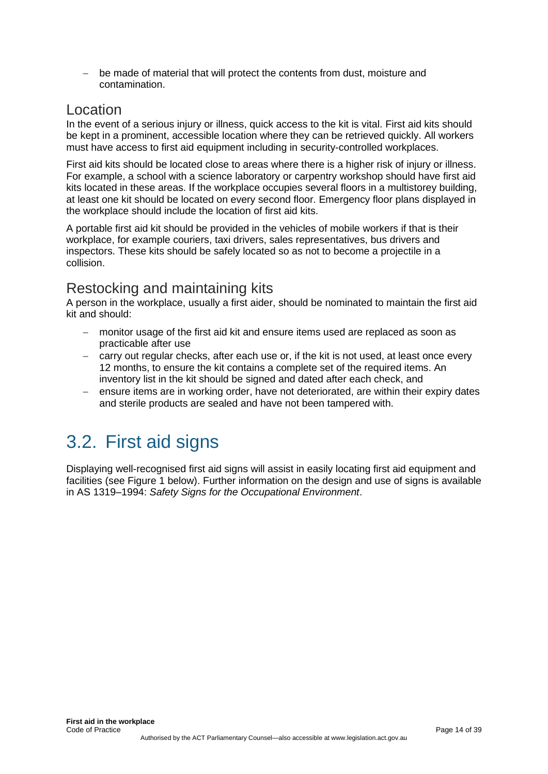− be made of material that will protect the contents from dust, moisture and contamination.

### Location

In the event of a serious injury or illness, quick access to the kit is vital. First aid kits should be kept in a prominent, accessible location where they can be retrieved quickly. All workers must have access to first aid equipment including in security-controlled workplaces.

First aid kits should be located close to areas where there is a higher risk of injury or illness. For example, a school with a science laboratory or carpentry workshop should have first aid kits located in these areas. If the workplace occupies several floors in a multistorey building, at least one kit should be located on every second floor. Emergency floor plans displayed in the workplace should include the location of first aid kits.

A portable first aid kit should be provided in the vehicles of mobile workers if that is their workplace, for example couriers, taxi drivers, sales representatives, bus drivers and inspectors. These kits should be safely located so as not to become a projectile in a collision.

## Restocking and maintaining kits

A person in the workplace, usually a first aider, should be nominated to maintain the first aid kit and should:

- − monitor usage of the first aid kit and ensure items used are replaced as soon as practicable after use
- − carry out regular checks, after each use or, if the kit is not used, at least once every 12 months, to ensure the kit contains a complete set of the required items. An inventory list in the kit should be signed and dated after each check, and
- ensure items are in working order, have not deteriorated, are within their expiry dates and sterile products are sealed and have not been tampered with.

# <span id="page-13-0"></span>3.2. First aid signs

Displaying well-recognised first aid signs will assist in easily locating first aid equipment and facilities (see Figure 1 below). Further information on the design and use of signs is available in AS 1319–1994: *Safety Signs for the Occupational Environment*.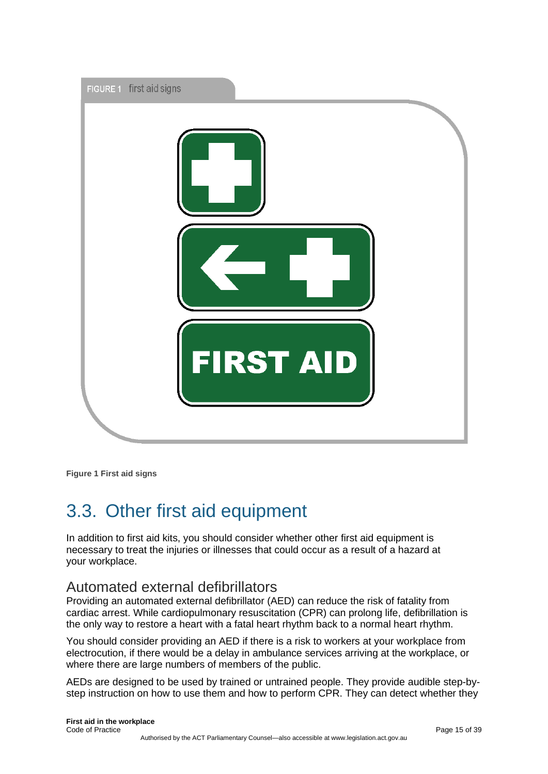

**Figure 1 First aid signs**

# <span id="page-14-0"></span>3.3. Other first aid equipment

In addition to first aid kits, you should consider whether other first aid equipment is necessary to treat the injuries or illnesses that could occur as a result of a hazard at your workplace.

## Automated external defibrillators

Providing an automated external defibrillator (AED) can reduce the risk of fatality from cardiac arrest. While cardiopulmonary resuscitation (CPR) can prolong life, defibrillation is the only way to restore a heart with a fatal heart rhythm back to a normal heart rhythm.

You should consider providing an AED if there is a risk to workers at your workplace from electrocution, if there would be a delay in ambulance services arriving at the workplace, or where there are large numbers of members of the public.

AEDs are designed to be used by trained or untrained people. They provide audible step-bystep instruction on how to use them and how to perform CPR. They can detect whether they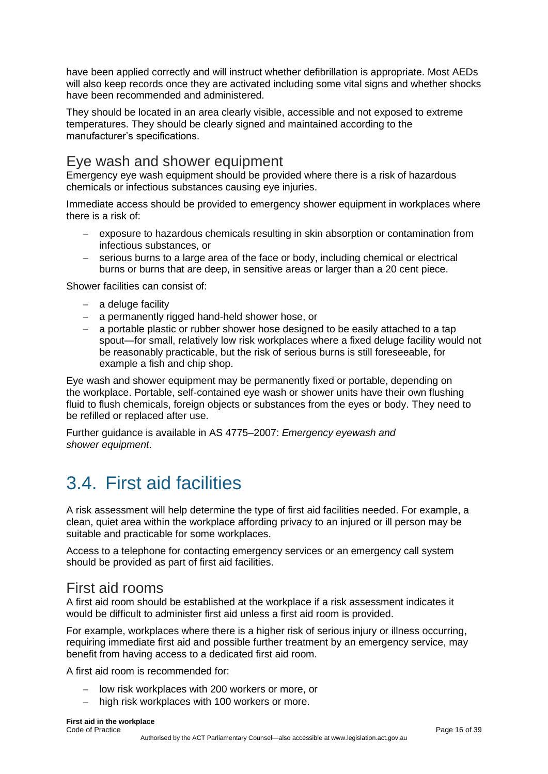have been applied correctly and will instruct whether defibrillation is appropriate. Most AEDs will also keep records once they are activated including some vital signs and whether shocks have been recommended and administered.

They should be located in an area clearly visible, accessible and not exposed to extreme temperatures. They should be clearly signed and maintained according to the manufacturer's specifications.

## Eye wash and shower equipment

Emergency eye wash equipment should be provided where there is a risk of hazardous chemicals or infectious substances causing eye injuries.

Immediate access should be provided to emergency shower equipment in workplaces where there is a risk of:

- − exposure to hazardous chemicals resulting in skin absorption or contamination from infectious substances, or
- − serious burns to a large area of the face or body, including chemical or electrical burns or burns that are deep, in sensitive areas or larger than a 20 cent piece.

Shower facilities can consist of:

- − a deluge facility
- − a permanently rigged hand-held shower hose, or
- − a portable plastic or rubber shower hose designed to be easily attached to a tap spout—for small, relatively low risk workplaces where a fixed deluge facility would not be reasonably practicable, but the risk of serious burns is still foreseeable, for example a fish and chip shop.

Eye wash and shower equipment may be permanently fixed or portable, depending on the workplace. Portable, self-contained eye wash or shower units have their own flushing fluid to flush chemicals, foreign objects or substances from the eyes or body. They need to be refilled or replaced after use.

Further guidance is available in AS 4775–2007: *Emergency eyewash and shower equipment*.

# <span id="page-15-0"></span>3.4. First aid facilities

A risk assessment will help determine the type of first aid facilities needed. For example, a clean, quiet area within the workplace affording privacy to an injured or ill person may be suitable and practicable for some workplaces.

Access to a telephone for contacting emergency services or an emergency call system should be provided as part of first aid facilities.

## First aid rooms

A first aid room should be established at the workplace if a risk assessment indicates it would be difficult to administer first aid unless a first aid room is provided.

For example, workplaces where there is a higher risk of serious injury or illness occurring, requiring immediate first aid and possible further treatment by an emergency service, may benefit from having access to a dedicated first aid room.

A first aid room is recommended for:

- − low risk workplaces with 200 workers or more, or
- high risk workplaces with 100 workers or more.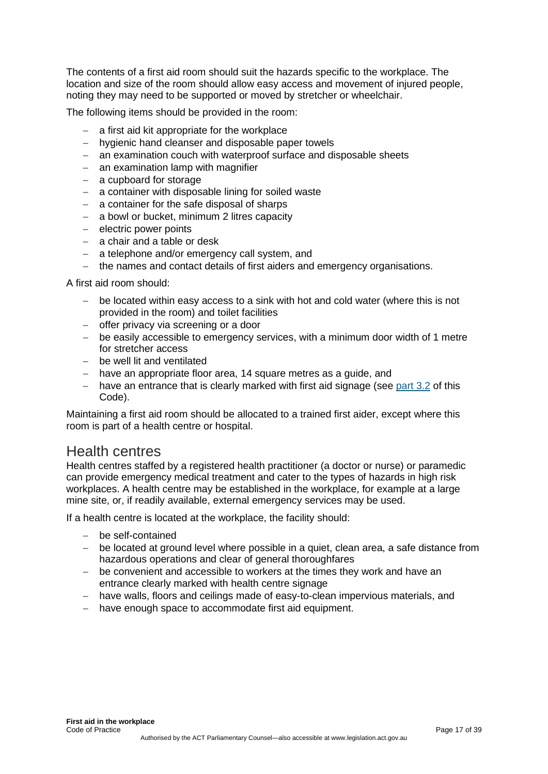The contents of a first aid room should suit the hazards specific to the workplace. The location and size of the room should allow easy access and movement of injured people, noting they may need to be supported or moved by stretcher or wheelchair.

The following items should be provided in the room:

- − a first aid kit appropriate for the workplace
- − hygienic hand cleanser and disposable paper towels
- − an examination couch with waterproof surface and disposable sheets
- − an examination lamp with magnifier
- − a cupboard for storage
- − a container with disposable lining for soiled waste
- − a container for the safe disposal of sharps
- − a bowl or bucket, minimum 2 litres capacity
- − electric power points
- − a chair and a table or desk
- − a telephone and/or emergency call system, and
- − the names and contact details of first aiders and emergency organisations.

A first aid room should:

- − be located within easy access to a sink with hot and cold water (where this is not provided in the room) and toilet facilities
- − offer privacy via screening or a door
- − be easily accessible to emergency services, with a minimum door width of 1 metre for stretcher access
- − be well lit and ventilated
- − have an appropriate floor area, 14 square metres as a guide, and
- − have an entrance that is clearly marked with first aid signage (see [part 3.2](#page-13-0) of this Code).

Maintaining a first aid room should be allocated to a trained first aider, except where this room is part of a health centre or hospital.

## Health centres

Health centres staffed by a registered health practitioner (a doctor or nurse) or paramedic can provide emergency medical treatment and cater to the types of hazards in high risk workplaces. A health centre may be established in the workplace, for example at a large mine site, or, if readily available, external emergency services may be used.

If a health centre is located at the workplace, the facility should:

- − be self-contained
- − be located at ground level where possible in a quiet, clean area, a safe distance from hazardous operations and clear of general thoroughfares
- − be convenient and accessible to workers at the times they work and have an entrance clearly marked with health centre signage
- − have walls, floors and ceilings made of easy-to-clean impervious materials, and
- − have enough space to accommodate first aid equipment.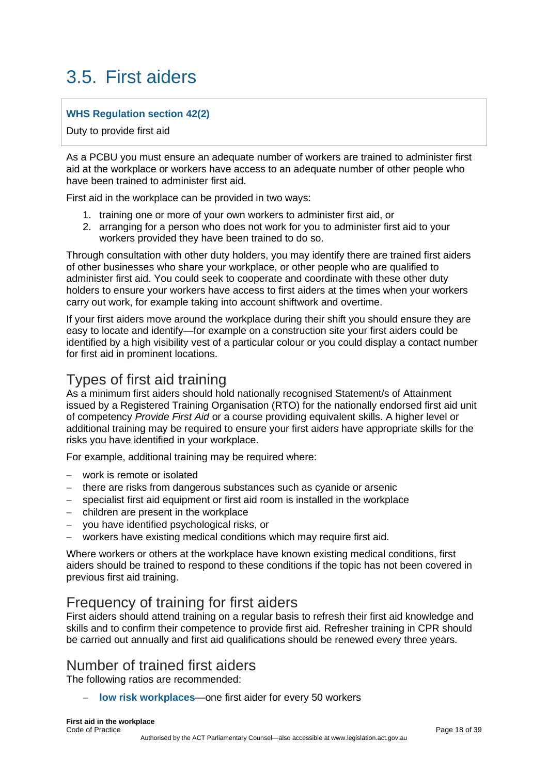# <span id="page-17-0"></span>3.5. First aiders

### **WHS Regulation section 42(2)**

Duty to provide first aid

As a PCBU you must ensure an adequate number of workers are trained to administer first aid at the workplace or workers have access to an adequate number of other people who have been trained to administer first aid.

First aid in the workplace can be provided in two ways:

- 1. training one or more of your own workers to administer first aid, or
- 2. arranging for a person who does not work for you to administer first aid to your workers provided they have been trained to do so.

Through consultation with other duty holders, you may identify there are trained first aiders of other businesses who share your workplace, or other people who are qualified to administer first aid. You could seek to cooperate and coordinate with these other duty holders to ensure your workers have access to first aiders at the times when your workers carry out work, for example taking into account shiftwork and overtime.

If your first aiders move around the workplace during their shift you should ensure they are easy to locate and identify—for example on a construction site your first aiders could be identified by a high visibility vest of a particular colour or you could display a contact number for first aid in prominent locations.

## Types of first aid training

As a minimum first aiders should hold nationally recognised Statement/s of Attainment issued by a Registered Training Organisation (RTO) for the nationally endorsed first aid unit of competency *Provide First Aid* or a course providing equivalent skills. A higher level or additional training may be required to ensure your first aiders have appropriate skills for the risks you have identified in your workplace.

For example, additional training may be required where:

- − work is remote or isolated
- − there are risks from dangerous substances such as cyanide or arsenic
- − specialist first aid equipment or first aid room is installed in the workplace
- − children are present in the workplace
- − you have identified psychological risks, or
- − workers have existing medical conditions which may require first aid.

Where workers or others at the workplace have known existing medical conditions, first aiders should be trained to respond to these conditions if the topic has not been covered in previous first aid training.

## Frequency of training for first aiders

First aiders should attend training on a regular basis to refresh their first aid knowledge and skills and to confirm their competence to provide first aid. Refresher training in CPR should be carried out annually and first aid qualifications should be renewed every three years.

## Number of trained first aiders

The following ratios are recommended:

**low risk workplaces—one first aider for every 50 workers**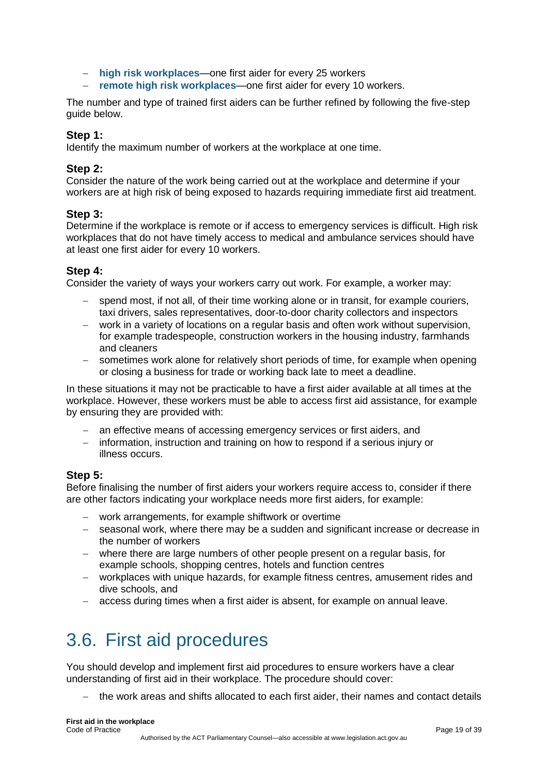- − **high risk workplaces**—one first aider for every 25 workers
- − **remote high risk workplaces**—one first aider for every 10 workers.

The number and type of trained first aiders can be further refined by following the five-step guide below.

#### **Step 1:**

Identify the maximum number of workers at the workplace at one time.

#### **Step 2:**

Consider the nature of the work being carried out at the workplace and determine if your workers are at high risk of being exposed to hazards requiring immediate first aid treatment.

#### **Step 3:**

Determine if the workplace is remote or if access to emergency services is difficult. High risk workplaces that do not have timely access to medical and ambulance services should have at least one first aider for every 10 workers.

### **Step 4:**

Consider the variety of ways your workers carry out work. For example, a worker may:

- spend most, if not all, of their time working alone or in transit, for example couriers, taxi drivers, sales representatives, door-to-door charity collectors and inspectors
- work in a variety of locations on a regular basis and often work without supervision, for example tradespeople, construction workers in the housing industry, farmhands and cleaners
- − sometimes work alone for relatively short periods of time, for example when opening or closing a business for trade or working back late to meet a deadline.

In these situations it may not be practicable to have a first aider available at all times at the workplace. However, these workers must be able to access first aid assistance, for example by ensuring they are provided with:

- an effective means of accessing emergency services or first aiders, and
- information, instruction and training on how to respond if a serious injury or illness occurs.

### **Step 5:**

Before finalising the number of first aiders your workers require access to, consider if there are other factors indicating your workplace needs more first aiders, for example:

- − work arrangements, for example shiftwork or overtime
- − seasonal work, where there may be a sudden and significant increase or decrease in the number of workers
- − where there are large numbers of other people present on a regular basis, for example schools, shopping centres, hotels and function centres
- − workplaces with unique hazards, for example fitness centres, amusement rides and dive schools, and
- − access during times when a first aider is absent, for example on annual leave.

# <span id="page-18-0"></span>3.6. First aid procedures

You should develop and implement first aid procedures to ensure workers have a clear understanding of first aid in their workplace. The procedure should cover:

− the work areas and shifts allocated to each first aider, their names and contact details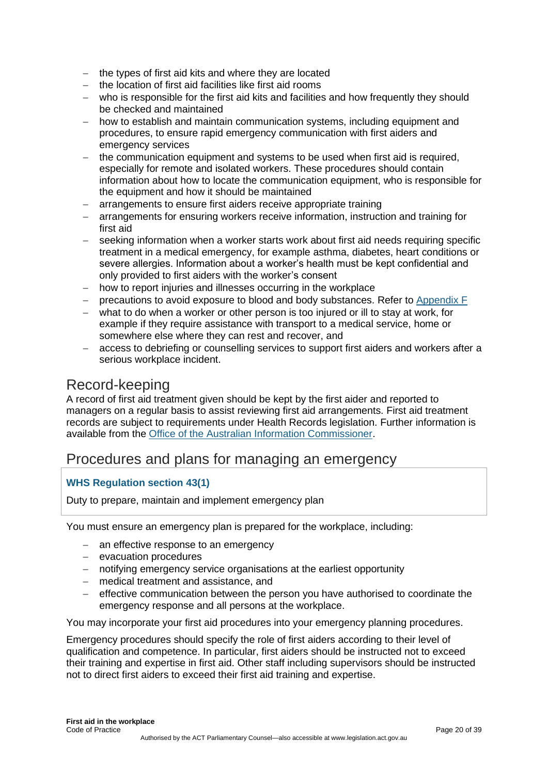- − the types of first aid kits and where they are located
- − the location of first aid facilities like first aid rooms
- − who is responsible for the first aid kits and facilities and how frequently they should be checked and maintained
- − how to establish and maintain communication systems, including equipment and procedures, to ensure rapid emergency communication with first aiders and emergency services
- − the communication equipment and systems to be used when first aid is required, especially for remote and isolated workers. These procedures should contain information about how to locate the communication equipment, who is responsible for the equipment and how it should be maintained
- − arrangements to ensure first aiders receive appropriate training
- − arrangements for ensuring workers receive information, instruction and training for first aid
- − seeking information when a worker starts work about first aid needs requiring specific treatment in a medical emergency, for example asthma, diabetes, heart conditions or severe allergies. Information about a worker's health must be kept confidential and only provided to first aiders with the worker's consent
- − how to report injuries and illnesses occurring in the workplace
- − precautions to avoid exposure to blood and body substances. Refer to [Appendix F](#page-36-0)
- − what to do when a worker or other person is too injured or ill to stay at work, for example if they require assistance with transport to a medical service, home or somewhere else where they can rest and recover, and
- − access to debriefing or counselling services to support first aiders and workers after a serious workplace incident.

## Record-keeping

A record of first aid treatment given should be kept by the first aider and reported to managers on a regular basis to assist reviewing first aid arrangements. First aid treatment records are subject to requirements under Health Records legislation. Further information is available from the [Office of the Australian Information Commissioner.](https://www.oaic.gov.au/)

## Procedures and plans for managing an emergency

### **WHS Regulation section 43(1)**

Duty to prepare, maintain and implement emergency plan

You must ensure an emergency plan is prepared for the workplace, including:

- − an effective response to an emergency
- − evacuation procedures
- − notifying emergency service organisations at the earliest opportunity
- − medical treatment and assistance, and
- − effective communication between the person you have authorised to coordinate the emergency response and all persons at the workplace.

You may incorporate your first aid procedures into your emergency planning procedures.

Emergency procedures should specify the role of first aiders according to their level of qualification and competence. In particular, first aiders should be instructed not to exceed their training and expertise in first aid. Other staff including supervisors should be instructed not to direct first aiders to exceed their first aid training and expertise.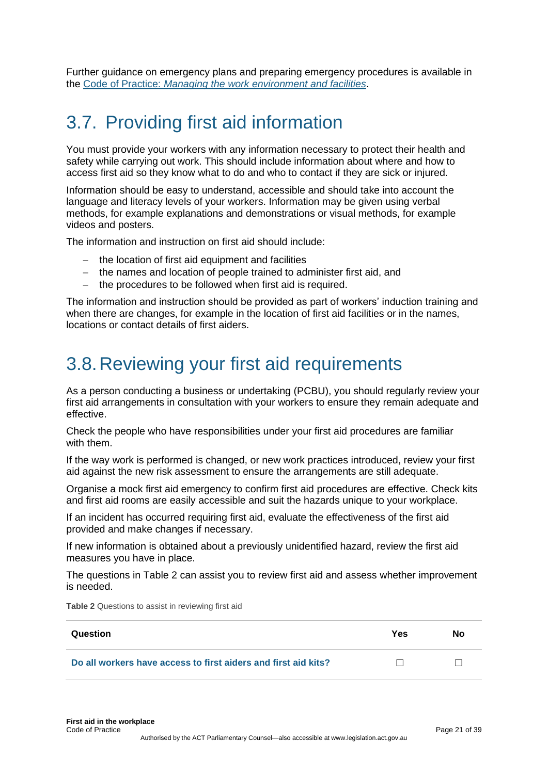Further guidance on emergency plans and preparing emergency procedures is available in the Code of Practice: *[Managing the work environment and facilities](https://www.safeworkaustralia.gov.au/doc/model-code-practice-managing-work-environment-and-facilities)*.

# <span id="page-20-0"></span>3.7. Providing first aid information

You must provide your workers with any information necessary to protect their health and safety while carrying out work. This should include information about where and how to access first aid so they know what to do and who to contact if they are sick or injured.

Information should be easy to understand, accessible and should take into account the language and literacy levels of your workers. Information may be given using verbal methods, for example explanations and demonstrations or visual methods, for example videos and posters.

The information and instruction on first aid should include:

- the location of first aid equipment and facilities
- − the names and location of people trained to administer first aid, and
- − the procedures to be followed when first aid is required.

The information and instruction should be provided as part of workers' induction training and when there are changes, for example in the location of first aid facilities or in the names, locations or contact details of first aiders.

# <span id="page-20-1"></span>3.8.Reviewing your first aid requirements

As a person conducting a business or undertaking (PCBU), you should regularly review your first aid arrangements in consultation with your workers to ensure they remain adequate and effective.

Check the people who have responsibilities under your first aid procedures are familiar with them.

If the way work is performed is changed, or new work practices introduced, review your first aid against the new risk assessment to ensure the arrangements are still adequate.

Organise a mock first aid emergency to confirm first aid procedures are effective. Check kits and first aid rooms are easily accessible and suit the hazards unique to your workplace.

If an incident has occurred requiring first aid, evaluate the effectiveness of the first aid provided and make changes if necessary.

If new information is obtained about a previously unidentified hazard, review the first aid measures you have in place.

The questions in Table 2 can assist you to review first aid and assess whether improvement is needed.

| Question                                                       | Yes | Nο |
|----------------------------------------------------------------|-----|----|
| Do all workers have access to first aiders and first aid kits? |     |    |

**Table 2** Questions to assist in reviewing first aid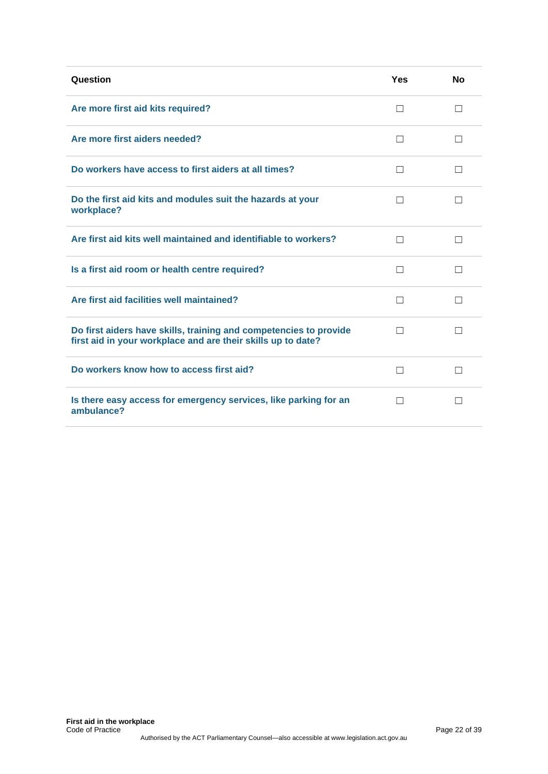| Question                                                                                                                          | <b>Yes</b> | <b>No</b>    |
|-----------------------------------------------------------------------------------------------------------------------------------|------------|--------------|
| Are more first aid kits required?                                                                                                 | П          | П            |
| Are more first aiders needed?                                                                                                     | $\Box$     | $\perp$      |
| Do workers have access to first aiders at all times?                                                                              | $\Box$     | ĪΙ           |
| Do the first aid kits and modules suit the hazards at your<br>workplace?                                                          | П          | $\perp$      |
| Are first aid kits well maintained and identifiable to workers?                                                                   | П          | П            |
| Is a first aid room or health centre required?                                                                                    | $\Box$     | $\perp$      |
| Are first aid facilities well maintained?                                                                                         | $\Box$     | П            |
| Do first aiders have skills, training and competencies to provide<br>first aid in your workplace and are their skills up to date? |            |              |
| Do workers know how to access first aid?                                                                                          | П          | П            |
| Is there easy access for emergency services, like parking for an<br>ambulance?                                                    | П          | $\mathsf{L}$ |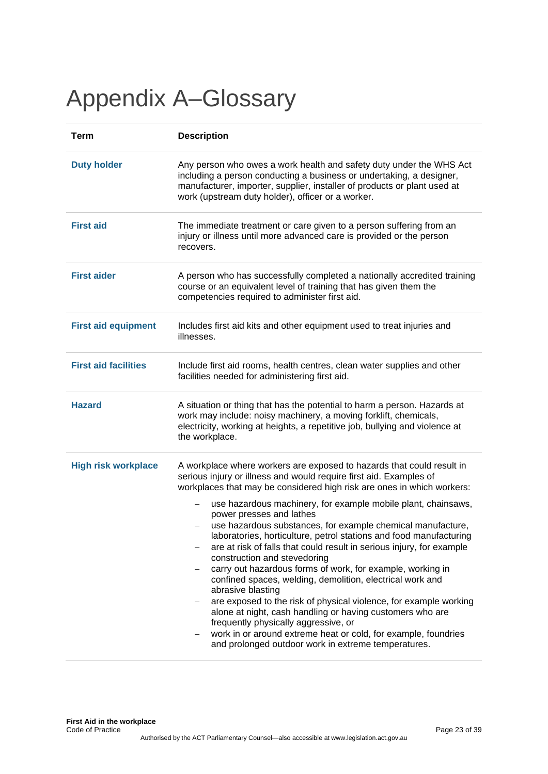# <span id="page-22-0"></span>Appendix A–Glossary

| <b>Term</b>                 | <b>Description</b>                                                                                                                                                                                                                                                                                                                                                                                                                                                                                                                                                                                                                                                                                                                                                                                                                                                                                                                                                     |  |  |
|-----------------------------|------------------------------------------------------------------------------------------------------------------------------------------------------------------------------------------------------------------------------------------------------------------------------------------------------------------------------------------------------------------------------------------------------------------------------------------------------------------------------------------------------------------------------------------------------------------------------------------------------------------------------------------------------------------------------------------------------------------------------------------------------------------------------------------------------------------------------------------------------------------------------------------------------------------------------------------------------------------------|--|--|
| <b>Duty holder</b>          | Any person who owes a work health and safety duty under the WHS Act<br>including a person conducting a business or undertaking, a designer,<br>manufacturer, importer, supplier, installer of products or plant used at<br>work (upstream duty holder), officer or a worker.                                                                                                                                                                                                                                                                                                                                                                                                                                                                                                                                                                                                                                                                                           |  |  |
| <b>First aid</b>            | The immediate treatment or care given to a person suffering from an<br>injury or illness until more advanced care is provided or the person<br>recovers.                                                                                                                                                                                                                                                                                                                                                                                                                                                                                                                                                                                                                                                                                                                                                                                                               |  |  |
| <b>First aider</b>          | A person who has successfully completed a nationally accredited training<br>course or an equivalent level of training that has given them the<br>competencies required to administer first aid.                                                                                                                                                                                                                                                                                                                                                                                                                                                                                                                                                                                                                                                                                                                                                                        |  |  |
| <b>First aid equipment</b>  | Includes first aid kits and other equipment used to treat injuries and<br>illnesses.                                                                                                                                                                                                                                                                                                                                                                                                                                                                                                                                                                                                                                                                                                                                                                                                                                                                                   |  |  |
| <b>First aid facilities</b> | Include first aid rooms, health centres, clean water supplies and other<br>facilities needed for administering first aid.                                                                                                                                                                                                                                                                                                                                                                                                                                                                                                                                                                                                                                                                                                                                                                                                                                              |  |  |
| <b>Hazard</b>               | A situation or thing that has the potential to harm a person. Hazards at<br>work may include: noisy machinery, a moving forklift, chemicals,<br>electricity, working at heights, a repetitive job, bullying and violence at<br>the workplace.                                                                                                                                                                                                                                                                                                                                                                                                                                                                                                                                                                                                                                                                                                                          |  |  |
| <b>High risk workplace</b>  | A workplace where workers are exposed to hazards that could result in<br>serious injury or illness and would require first aid. Examples of<br>workplaces that may be considered high risk are ones in which workers:<br>use hazardous machinery, for example mobile plant, chainsaws,<br>power presses and lathes<br>use hazardous substances, for example chemical manufacture,<br>laboratories, horticulture, petrol stations and food manufacturing<br>are at risk of falls that could result in serious injury, for example<br>construction and stevedoring<br>carry out hazardous forms of work, for example, working in<br>-<br>confined spaces, welding, demolition, electrical work and<br>abrasive blasting<br>are exposed to the risk of physical violence, for example working<br>alone at night, cash handling or having customers who are<br>frequently physically aggressive, or<br>work in or around extreme heat or cold, for example, foundries<br>— |  |  |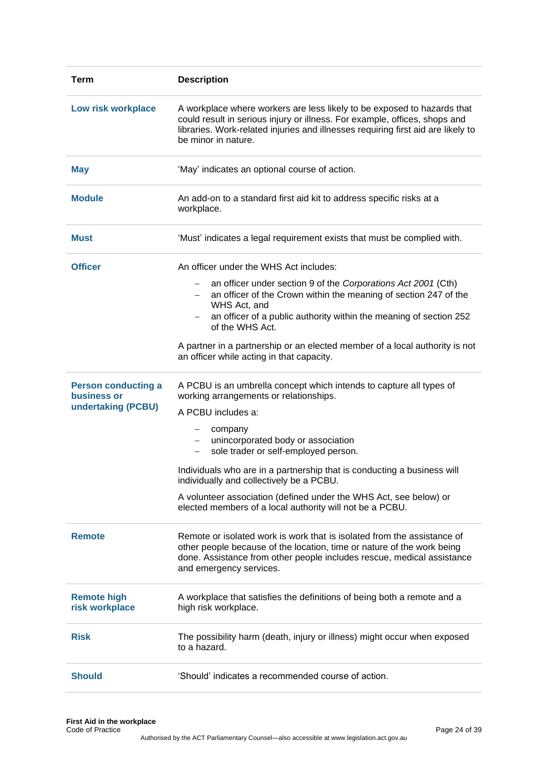| <b>Term</b>                               | <b>Description</b>                                                                                                                                                                                                                                               |  |  |
|-------------------------------------------|------------------------------------------------------------------------------------------------------------------------------------------------------------------------------------------------------------------------------------------------------------------|--|--|
| Low risk workplace                        | A workplace where workers are less likely to be exposed to hazards that<br>could result in serious injury or illness. For example, offices, shops and<br>libraries. Work-related injuries and illnesses requiring first aid are likely to<br>be minor in nature. |  |  |
| <b>May</b>                                | 'May' indicates an optional course of action.                                                                                                                                                                                                                    |  |  |
| <b>Module</b>                             | An add-on to a standard first aid kit to address specific risks at a<br>workplace.                                                                                                                                                                               |  |  |
| <b>Must</b>                               | 'Must' indicates a legal requirement exists that must be complied with.                                                                                                                                                                                          |  |  |
| <b>Officer</b>                            | An officer under the WHS Act includes:                                                                                                                                                                                                                           |  |  |
|                                           | an officer under section 9 of the Corporations Act 2001 (Cth)<br>$-$<br>an officer of the Crown within the meaning of section 247 of the<br>WHS Act, and                                                                                                         |  |  |
|                                           | an officer of a public authority within the meaning of section 252<br>of the WHS Act.                                                                                                                                                                            |  |  |
|                                           | A partner in a partnership or an elected member of a local authority is not<br>an officer while acting in that capacity.                                                                                                                                         |  |  |
| <b>Person conducting a</b><br>business or | A PCBU is an umbrella concept which intends to capture all types of<br>working arrangements or relationships.                                                                                                                                                    |  |  |
| undertaking (PCBU)                        | A PCBU includes a:                                                                                                                                                                                                                                               |  |  |
|                                           | company<br>$-$<br>unincorporated body or association<br>$-$<br>sole trader or self-employed person.<br>$\qquad \qquad -$                                                                                                                                         |  |  |
|                                           | Individuals who are in a partnership that is conducting a business will<br>individually and collectively be a PCBU.                                                                                                                                              |  |  |
|                                           | A volunteer association (defined under the WHS Act, see below) or<br>elected members of a local authority will not be a PCBU.                                                                                                                                    |  |  |
| <b>Remote</b>                             | Remote or isolated work is work that is isolated from the assistance of<br>other people because of the location, time or nature of the work being<br>done. Assistance from other people includes rescue, medical assistance<br>and emergency services.           |  |  |
| <b>Remote high</b><br>risk workplace      | A workplace that satisfies the definitions of being both a remote and a<br>high risk workplace.                                                                                                                                                                  |  |  |
| <b>Risk</b>                               | The possibility harm (death, injury or illness) might occur when exposed<br>to a hazard.                                                                                                                                                                         |  |  |
| <b>Should</b>                             | 'Should' indicates a recommended course of action.                                                                                                                                                                                                               |  |  |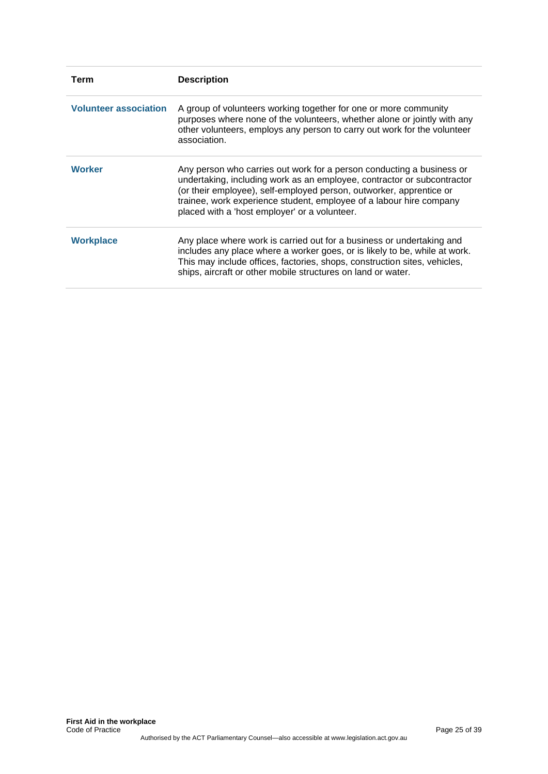| Term                         | <b>Description</b>                                                                                                                                                                                                                                                                                                                              |  |  |
|------------------------------|-------------------------------------------------------------------------------------------------------------------------------------------------------------------------------------------------------------------------------------------------------------------------------------------------------------------------------------------------|--|--|
| <b>Volunteer association</b> | A group of volunteers working together for one or more community<br>purposes where none of the volunteers, whether alone or jointly with any<br>other volunteers, employs any person to carry out work for the volunteer<br>association.                                                                                                        |  |  |
| <b>Worker</b>                | Any person who carries out work for a person conducting a business or<br>undertaking, including work as an employee, contractor or subcontractor<br>(or their employee), self-employed person, outworker, apprentice or<br>trainee, work experience student, employee of a labour hire company<br>placed with a 'host employer' or a volunteer. |  |  |
| <b>Workplace</b>             | Any place where work is carried out for a business or undertaking and<br>includes any place where a worker goes, or is likely to be, while at work.<br>This may include offices, factories, shops, construction sites, vehicles,<br>ships, aircraft or other mobile structures on land or water.                                                |  |  |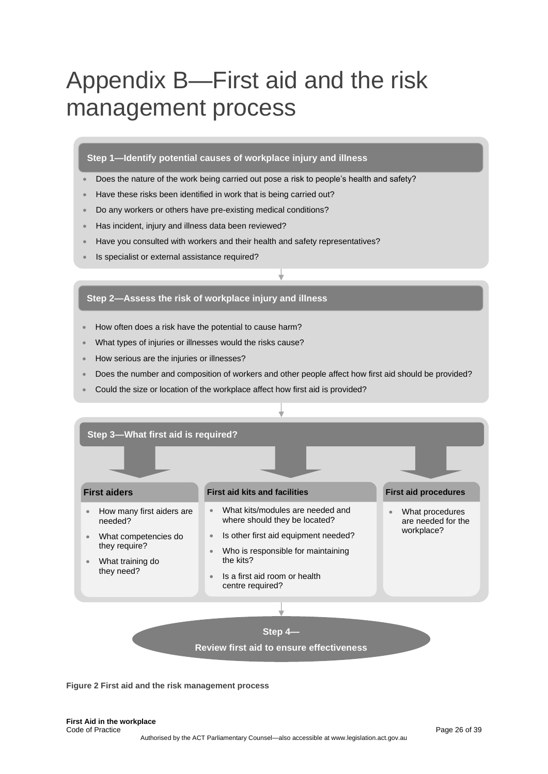# <span id="page-25-0"></span>Appendix B—First aid and the risk management process

#### **Step 1—Identify potential causes of workplace injury and illness**

- Does the nature of the work being carried out pose a risk to people's health and safety?
- Have these risks been identified in work that is being carried out?
- Do any workers or others have pre-existing medical conditions?
- Has incident, injury and illness data been reviewed?
- Have you consulted with workers and their health and safety representatives?
- Is specialist or external assistance required?

#### **Step 2—Assess the risk of workplace injury and illness**

- How often does a risk have the potential to cause harm?
- What types of injuries or illnesses would the risks cause?
- How serious are the injuries or illnesses?
- Does the number and composition of workers and other people affect how first aid should be provided?
- Could the size or location of the workplace affect how first aid is provided?



**Figure 2 First aid and the risk management process**

**First Aid in the workplace** Code of Practice Page 26 of 39 Authorised by the ACT Parliamentary Counsel—also accessible at www.legislation.act.gov.au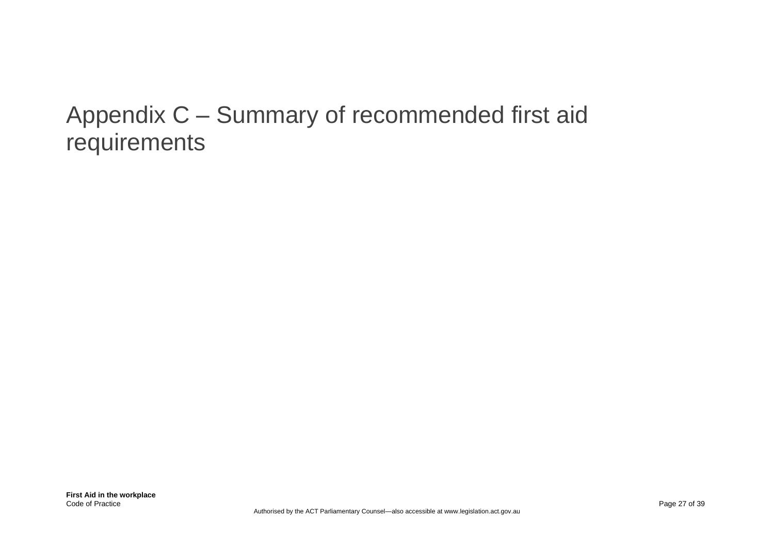# <span id="page-26-0"></span>Appendix C – Summary of recommended first aid requirements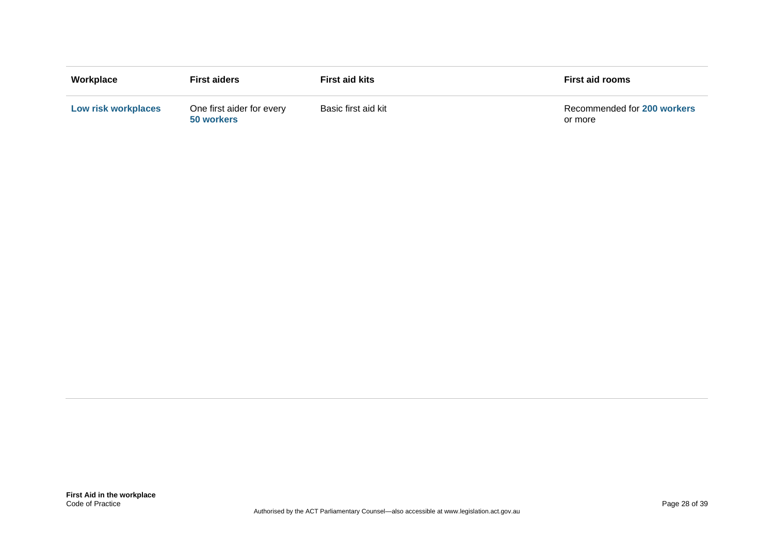| Workplace                  | <b>First aiders</b>                     | <b>First aid kits</b> | <b>First aid rooms</b>                 |
|----------------------------|-----------------------------------------|-----------------------|----------------------------------------|
| <b>Low risk workplaces</b> | One first aider for every<br>50 workers | Basic first aid kit   | Recommended for 200 workers<br>or more |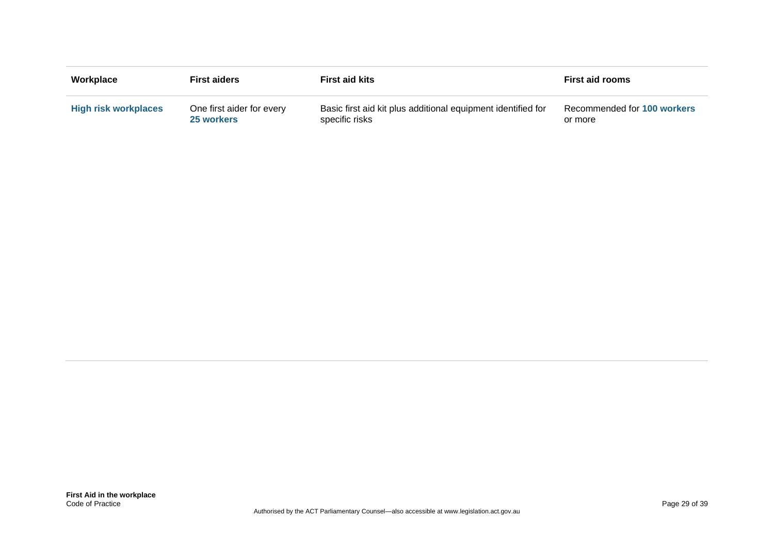| Workplace                   | <b>First aiders</b>       | <b>First aid kits</b>                                        | <b>First aid rooms</b>      |
|-----------------------------|---------------------------|--------------------------------------------------------------|-----------------------------|
| <b>High risk workplaces</b> | One first aider for every | Basic first aid kit plus additional equipment identified for | Recommended for 100 workers |
|                             | 25 workers                | specific risks                                               | or more                     |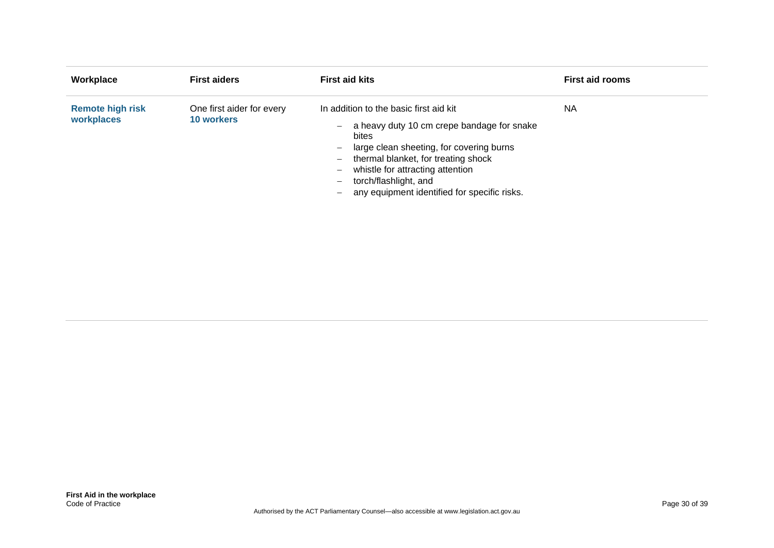| Workplace                             | <b>First aiders</b>                            | <b>First aid kits</b>                                                                                                                                                                                                                                                                                                                                                                                                                                   | <b>First aid rooms</b> |
|---------------------------------------|------------------------------------------------|---------------------------------------------------------------------------------------------------------------------------------------------------------------------------------------------------------------------------------------------------------------------------------------------------------------------------------------------------------------------------------------------------------------------------------------------------------|------------------------|
| <b>Remote high risk</b><br>workplaces | One first aider for every<br><b>10 workers</b> | In addition to the basic first aid kit<br>a heavy duty 10 cm crepe bandage for snake<br>$\overline{\phantom{0}}$<br>bites<br>large clean sheeting, for covering burns<br>$\overline{\phantom{0}}$<br>thermal blanket, for treating shock<br>$\qquad \qquad -$<br>whistle for attracting attention<br>$\qquad \qquad -$<br>torch/flashlight, and<br>$\overline{\phantom{0}}$<br>any equipment identified for specific risks.<br>$\overline{\phantom{0}}$ | <b>NA</b>              |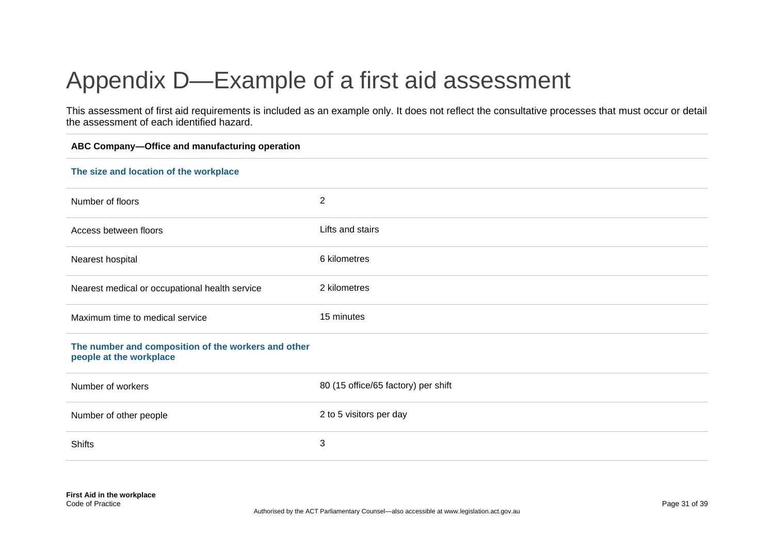# Appendix D—Example of a first aid assessment

This assessment of first aid requirements is included as an example only. It does not reflect the consultative processes that must occur or detail the assessment of each identified hazard.

<span id="page-30-0"></span>

| ABC Company-Office and manufacturing operation                                 |                                     |  |
|--------------------------------------------------------------------------------|-------------------------------------|--|
| The size and location of the workplace                                         |                                     |  |
| Number of floors                                                               | $\overline{2}$                      |  |
| Access between floors                                                          | Lifts and stairs                    |  |
| Nearest hospital                                                               | 6 kilometres                        |  |
| Nearest medical or occupational health service                                 | 2 kilometres                        |  |
| Maximum time to medical service                                                | 15 minutes                          |  |
| The number and composition of the workers and other<br>people at the workplace |                                     |  |
| Number of workers                                                              | 80 (15 office/65 factory) per shift |  |
| Number of other people                                                         | 2 to 5 visitors per day             |  |
| <b>Shifts</b>                                                                  | 3                                   |  |
|                                                                                |                                     |  |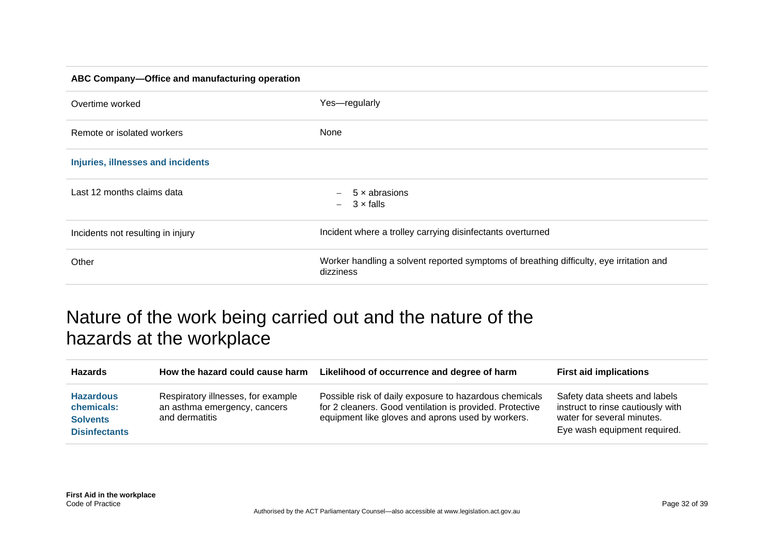#### **ABC Company—Office and manufacturing operation**

| Overtime worked                   | Yes-regularly                                                                                        |
|-----------------------------------|------------------------------------------------------------------------------------------------------|
| Remote or isolated workers        | None                                                                                                 |
| Injuries, illnesses and incidents |                                                                                                      |
| Last 12 months claims data        | 5 x abrasions<br>$\overline{\phantom{a}}$<br>$3 \times$ falls<br>$\overline{\phantom{0}}$            |
| Incidents not resulting in injury | Incident where a trolley carrying disinfectants overturned                                           |
| Other                             | Worker handling a solvent reported symptoms of breathing difficulty, eye irritation and<br>dizziness |

## Nature of the work being carried out and the nature of the hazards at the workplace

<span id="page-31-0"></span>

| <b>Hazards</b>                                                            | How the hazard could cause harm                                                      | Likelihood of occurrence and degree of harm                                                                                                                             | <b>First aid implications</b>                                                                                                    |
|---------------------------------------------------------------------------|--------------------------------------------------------------------------------------|-------------------------------------------------------------------------------------------------------------------------------------------------------------------------|----------------------------------------------------------------------------------------------------------------------------------|
| <b>Hazardous</b><br>chemicals:<br><b>Solvents</b><br><b>Disinfectants</b> | Respiratory illnesses, for example<br>an asthma emergency, cancers<br>and dermatitis | Possible risk of daily exposure to hazardous chemicals<br>for 2 cleaners. Good ventilation is provided. Protective<br>equipment like gloves and aprons used by workers. | Safety data sheets and labels<br>instruct to rinse cautiously with<br>water for several minutes.<br>Eye wash equipment required. |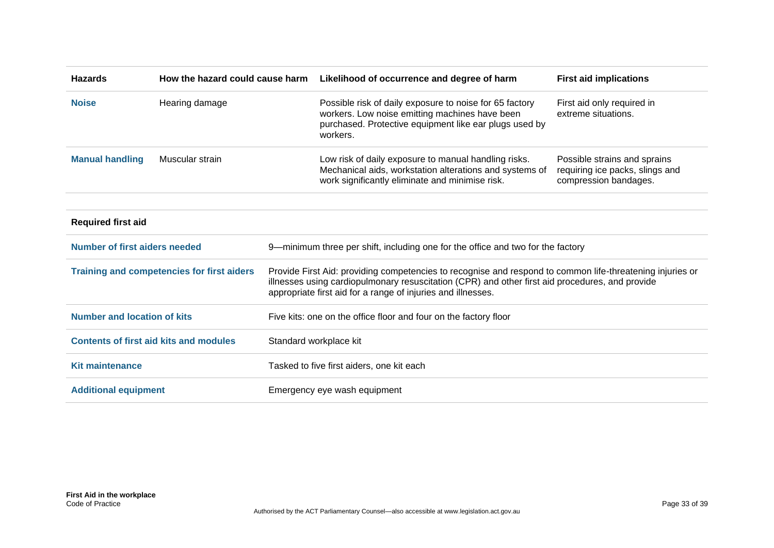| <b>Hazards</b>                       | How the hazard could cause harm                   |                                                                  | Likelihood of occurrence and degree of harm                                                                                                                                                                                                                                  | <b>First aid implications</b>                                                            |  |
|--------------------------------------|---------------------------------------------------|------------------------------------------------------------------|------------------------------------------------------------------------------------------------------------------------------------------------------------------------------------------------------------------------------------------------------------------------------|------------------------------------------------------------------------------------------|--|
| <b>Noise</b>                         | Hearing damage                                    |                                                                  | Possible risk of daily exposure to noise for 65 factory<br>workers. Low noise emitting machines have been<br>purchased. Protective equipment like ear plugs used by<br>workers.                                                                                              | First aid only required in<br>extreme situations.                                        |  |
| <b>Manual handling</b>               | Muscular strain                                   |                                                                  | Low risk of daily exposure to manual handling risks.<br>Mechanical aids, workstation alterations and systems of<br>work significantly eliminate and minimise risk.                                                                                                           | Possible strains and sprains<br>requiring ice packs, slings and<br>compression bandages. |  |
| <b>Required first aid</b>            |                                                   |                                                                  |                                                                                                                                                                                                                                                                              |                                                                                          |  |
| <b>Number of first aiders needed</b> |                                                   |                                                                  | 9-minimum three per shift, including one for the office and two for the factory                                                                                                                                                                                              |                                                                                          |  |
|                                      | <b>Training and competencies for first aiders</b> |                                                                  | Provide First Aid: providing competencies to recognise and respond to common life-threatening injuries or<br>illnesses using cardiopulmonary resuscitation (CPR) and other first aid procedures, and provide<br>appropriate first aid for a range of injuries and illnesses. |                                                                                          |  |
| <b>Number and location of kits</b>   |                                                   | Five kits: one on the office floor and four on the factory floor |                                                                                                                                                                                                                                                                              |                                                                                          |  |
|                                      | <b>Contents of first aid kits and modules</b>     |                                                                  | Standard workplace kit                                                                                                                                                                                                                                                       |                                                                                          |  |
| <b>Kit maintenance</b>               |                                                   |                                                                  | Tasked to five first aiders, one kit each                                                                                                                                                                                                                                    |                                                                                          |  |
| <b>Additional equipment</b>          |                                                   |                                                                  | Emergency eye wash equipment                                                                                                                                                                                                                                                 |                                                                                          |  |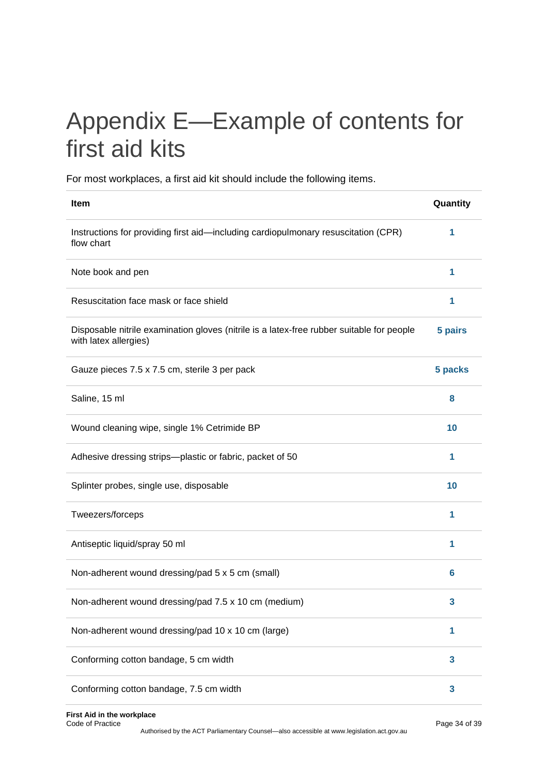# <span id="page-33-0"></span>Appendix E—Example of contents for first aid kits

For most workplaces, a first aid kit should include the following items.

| Item                                                                                                               | Quantity |
|--------------------------------------------------------------------------------------------------------------------|----------|
| Instructions for providing first aid-including cardiopulmonary resuscitation (CPR)<br>flow chart                   | 1        |
| Note book and pen                                                                                                  | 1        |
| Resuscitation face mask or face shield                                                                             | 1        |
| Disposable nitrile examination gloves (nitrile is a latex-free rubber suitable for people<br>with latex allergies) | 5 pairs  |
| Gauze pieces 7.5 x 7.5 cm, sterile 3 per pack                                                                      | 5 packs  |
| Saline, 15 ml                                                                                                      | 8        |
| Wound cleaning wipe, single 1% Cetrimide BP                                                                        | 10       |
| Adhesive dressing strips-plastic or fabric, packet of 50                                                           | 1        |
| Splinter probes, single use, disposable                                                                            | 10       |
| Tweezers/forceps                                                                                                   | 1        |
| Antiseptic liquid/spray 50 ml                                                                                      | 1        |
| Non-adherent wound dressing/pad 5 x 5 cm (small)                                                                   | 6        |
| Non-adherent wound dressing/pad 7.5 x 10 cm (medium)                                                               | 3        |
| Non-adherent wound dressing/pad 10 x 10 cm (large)                                                                 | 1        |
| Conforming cotton bandage, 5 cm width                                                                              | 3        |
| Conforming cotton bandage, 7.5 cm width                                                                            | 3        |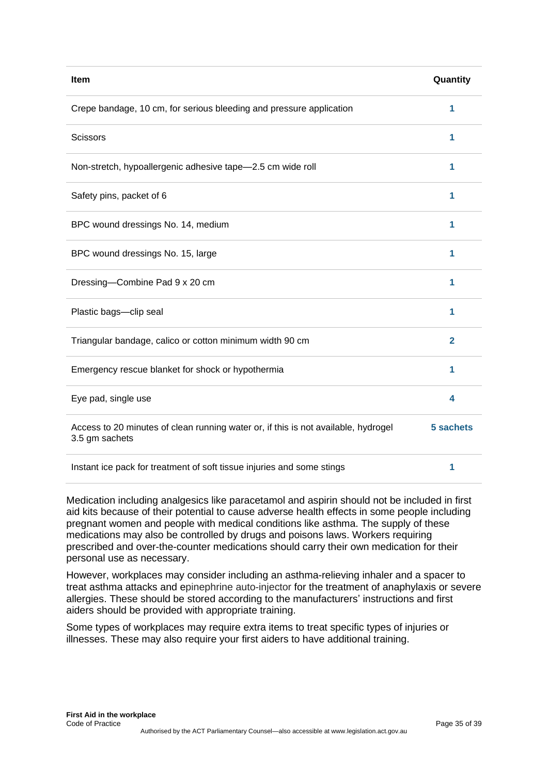| Item                                                                                                 | Quantity       |
|------------------------------------------------------------------------------------------------------|----------------|
| Crepe bandage, 10 cm, for serious bleeding and pressure application                                  | 1              |
| <b>Scissors</b>                                                                                      | 1              |
| Non-stretch, hypoallergenic adhesive tape-2.5 cm wide roll                                           | 1              |
| Safety pins, packet of 6                                                                             | 1              |
| BPC wound dressings No. 14, medium                                                                   | 1              |
| BPC wound dressings No. 15, large                                                                    | 1              |
| Dressing-Combine Pad 9 x 20 cm                                                                       | 1              |
| Plastic bags-clip seal                                                                               | 1              |
| Triangular bandage, calico or cotton minimum width 90 cm                                             | $\overline{2}$ |
| Emergency rescue blanket for shock or hypothermia                                                    | 1              |
| Eye pad, single use                                                                                  | 4              |
| Access to 20 minutes of clean running water or, if this is not available, hydrogel<br>3.5 gm sachets | 5 sachets      |
| Instant ice pack for treatment of soft tissue injuries and some stings                               | 1              |

Medication including analgesics like paracetamol and aspirin should not be included in first aid kits because of their potential to cause adverse health effects in some people including pregnant women and people with medical conditions like asthma. The supply of these medications may also be controlled by drugs and poisons laws. Workers requiring prescribed and over-the-counter medications should carry their own medication for their personal use as necessary.

However, workplaces may consider including an asthma-relieving inhaler and a spacer to treat asthma attacks and epinephrine auto-injector for the treatment of anaphylaxis or severe allergies. These should be stored according to the manufacturers' instructions and first aiders should be provided with appropriate training.

Some types of workplaces may require extra items to treat specific types of injuries or illnesses. These may also require your first aiders to have additional training.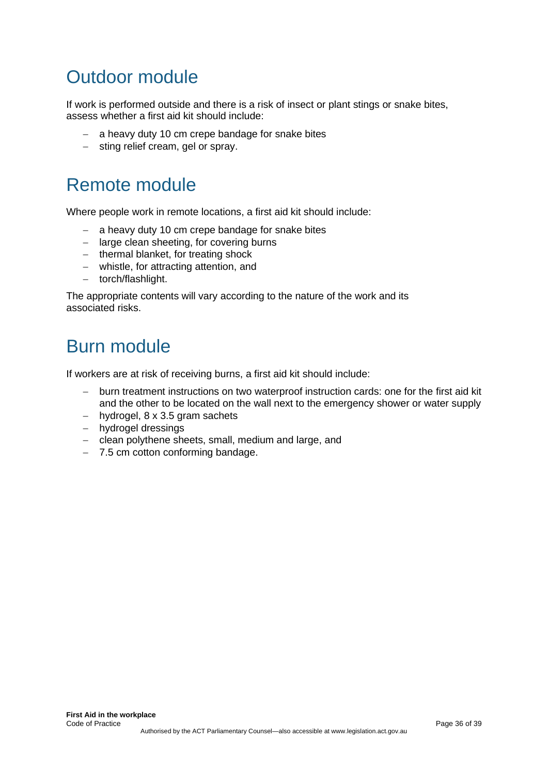# <span id="page-35-0"></span>Outdoor module

If work is performed outside and there is a risk of insect or plant stings or snake bites, assess whether a first aid kit should include:

- − a heavy duty 10 cm crepe bandage for snake bites
- − sting relief cream, gel or spray.

## <span id="page-35-1"></span>Remote module

Where people work in remote locations, a first aid kit should include:

- − a heavy duty 10 cm crepe bandage for snake bites
- − large clean sheeting, for covering burns
- − thermal blanket, for treating shock
- − whistle, for attracting attention, and
- − torch/flashlight.

The appropriate contents will vary according to the nature of the work and its associated risks.

# <span id="page-35-2"></span>Burn module

If workers are at risk of receiving burns, a first aid kit should include:

- − burn treatment instructions on two waterproof instruction cards: one for the first aid kit and the other to be located on the wall next to the emergency shower or water supply
- − hydrogel, 8 x 3.5 gram sachets
- − hydrogel dressings
- − clean polythene sheets, small, medium and large, and
- − 7.5 cm cotton conforming bandage.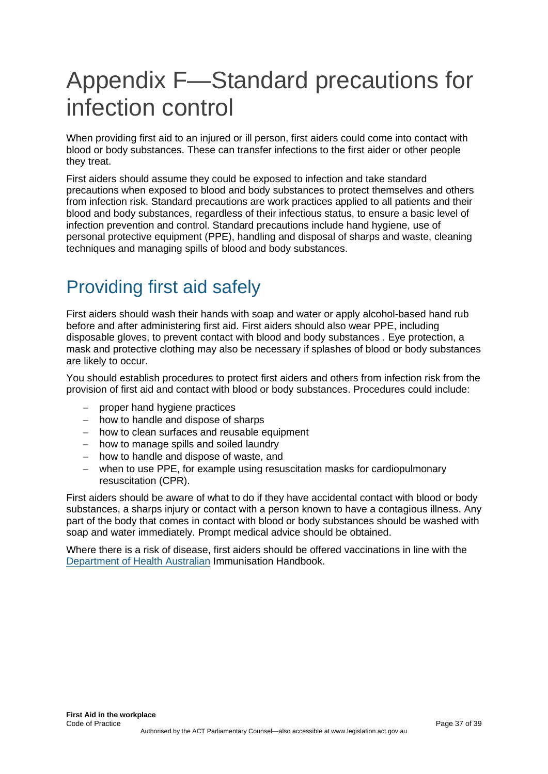# <span id="page-36-0"></span>Appendix F—Standard precautions for infection control

When providing first aid to an injured or ill person, first aiders could come into contact with blood or body substances. These can transfer infections to the first aider or other people they treat.

First aiders should assume they could be exposed to infection and take standard precautions when exposed to blood and body substances to protect themselves and others from infection risk. Standard precautions are work practices applied to all patients and their blood and body substances, regardless of their infectious status, to ensure a basic level of infection prevention and control. Standard precautions include hand hygiene, use of personal protective equipment (PPE), handling and disposal of sharps and waste, cleaning techniques and managing spills of blood and body substances.

# <span id="page-36-1"></span>Providing first aid safely

First aiders should wash their hands with soap and water or apply alcohol-based hand rub before and after administering first aid. First aiders should also wear PPE, including disposable gloves, to prevent contact with blood and body substances . Eye protection, a mask and protective clothing may also be necessary if splashes of blood or body substances are likely to occur.

You should establish procedures to protect first aiders and others from infection risk from the provision of first aid and contact with blood or body substances. Procedures could include:

- proper hand hygiene practices
- − how to handle and dispose of sharps
- − how to clean surfaces and reusable equipment
- − how to manage spills and soiled laundry
- − how to handle and dispose of waste, and
- − when to use PPE, for example using resuscitation masks for cardiopulmonary resuscitation (CPR).

First aiders should be aware of what to do if they have accidental contact with blood or body substances, a sharps injury or contact with a person known to have a contagious illness. Any part of the body that comes in contact with blood or body substances should be washed with soap and water immediately. Prompt medical advice should be obtained.

Where there is a risk of disease, first aiders should be offered vaccinations in line with the [Department of Health Australian](https://www.health.gov.au/) Immunisation Handbook.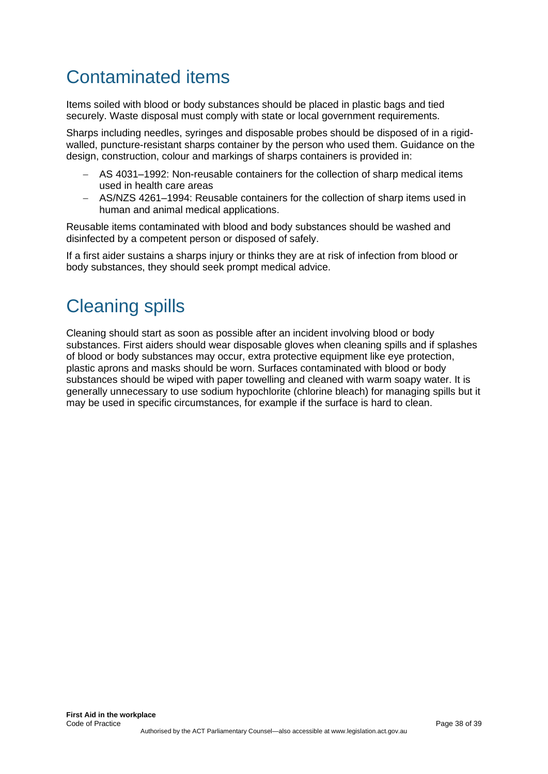# <span id="page-37-0"></span>Contaminated items

Items soiled with blood or body substances should be placed in plastic bags and tied securely. Waste disposal must comply with state or local government requirements.

Sharps including needles, syringes and disposable probes should be disposed of in a rigidwalled, puncture-resistant sharps container by the person who used them. Guidance on the design, construction, colour and markings of sharps containers is provided in:

- − AS 4031–1992: Non-reusable containers for the collection of sharp medical items used in health care areas
- − AS/NZS 4261–1994: Reusable containers for the collection of sharp items used in human and animal medical applications.

Reusable items contaminated with blood and body substances should be washed and disinfected by a competent person or disposed of safely.

If a first aider sustains a sharps injury or thinks they are at risk of infection from blood or body substances, they should seek prompt medical advice.

# <span id="page-37-1"></span>Cleaning spills

Cleaning should start as soon as possible after an incident involving blood or body substances. First aiders should wear disposable gloves when cleaning spills and if splashes of blood or body substances may occur, extra protective equipment like eye protection, plastic aprons and masks should be worn. Surfaces contaminated with blood or body substances should be wiped with paper towelling and cleaned with warm soapy water. It is generally unnecessary to use sodium hypochlorite (chlorine bleach) for managing spills but it may be used in specific circumstances, for example if the surface is hard to clean.